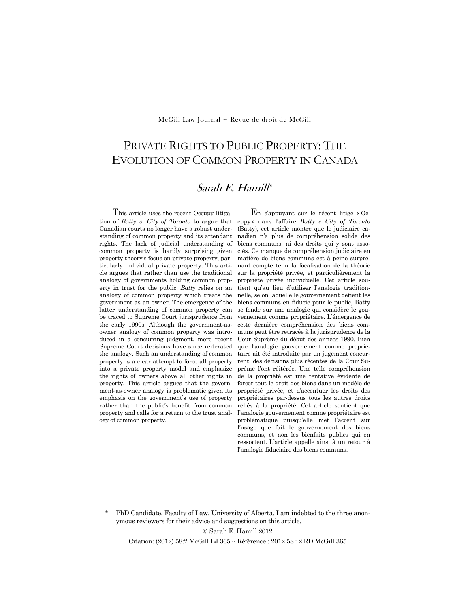$McGill Law Journal \sim Reviewe$  de droit de  $McGill$ 

# PRIVATE RIGHTS TO PUBLIC PROPERTY: THE EVOLUTION OF COMMON PROPERTY IN CANADA

## Sarah E. Hamill\*

This article uses the recent Occupy litigation of *Batty v. City of Toronto* to argue that Canadian courts no longer have a robust understanding of common property and its attendant rights. The lack of judicial understanding of common property is hardly surprising given property theory's focus on private property, particularly individual private property. This article argues that rather than use the traditional analogy of governments holding common property in trust for the public, *Batty* relies on an analogy of common property which treats the government as an owner. The emergence of the latter understanding of common property can be traced to Supreme Court jurisprudence from the early 1990s. Although the government-asowner analogy of common property was introduced in a concurring judgment, more recent Supreme Court decisions have since reiterated the analogy. Such an understanding of common property is a clear attempt to force all property into a private property model and emphasize the rights of owners above all other rights in property. This article argues that the government-as-owner analogy is problematic given its emphasis on the government's use of property rather than the public's benefit from common property and calls for a return to the trust analogy of common property.

-

En s'appuyant sur le récent litige « Occupy » dans l'affaire *Batty c City of Toronto* (Batty), cet article montre que le judiciaire canadien n'a plus de compréhension solide des biens communs, ni des droits qui y sont associés. Ce manque de compréhension judiciaire en matière de biens communs est à peine surprenant compte tenu la focalisation de la théorie sur la propriété privée, et particulièrement la propriété privée individuelle. Cet article soutient qu'au lieu d'utiliser l'analogie traditionnelle, selon laquelle le gouvernement détient les biens communs en fiducie pour le public, Batty se fonde sur une analogie qui considère le gouvernement comme propriétaire. L'émergence de cette dernière compréhension des biens communs peut être retracée à la jurisprudence de la Cour Suprême du début des années 1990. Bien que l'analogie gouvernement comme propriétaire ait été introduite par un jugement concurrent, des décisions plus récentes de la Cour Suprême l'ont réitérée. Une telle compréhension de la propriété est une tentative évidente de forcer tout le droit des biens dans un modèle de propriété privée, et d'accentuer les droits des propriétaires par-dessus tous les autres droits reliés à la propriété. Cet article soutient que l'analogie gouvernement comme propriétaire est problématique puisqu'elle met l'accent sur l'usage que fait le gouvernement des biens communs, et non les bienfaits publics qui en ressortent. L'article appelle ainsi à un retour à l'analogie fiduciaire des biens communs.

\* PhD Candidate, Faculty of Law, University of Alberta. I am indebted to the three anonymous reviewers for their advice and suggestions on this article.

© Sarah E. Hamill 2012 Citation: (2012) 58:2 McGill LJ 365 ~ Référence : 2012 58 : 2 RD McGill 365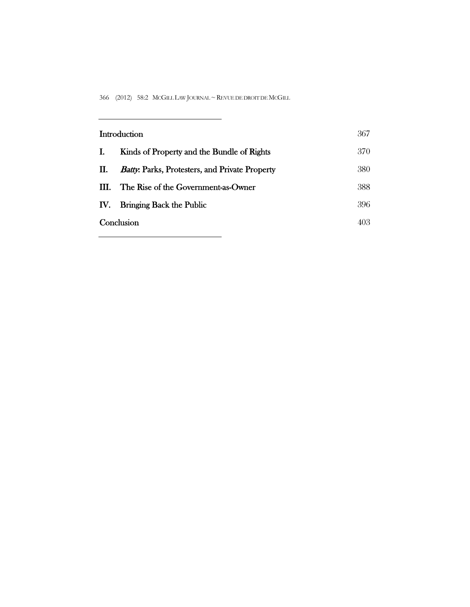| Introduction |                                                       | 367 |
|--------------|-------------------------------------------------------|-----|
| Ι.           | Kinds of Property and the Bundle of Rights            | 370 |
| П.           | <b>Batty: Parks, Protesters, and Private Property</b> | 380 |
| III.         | The Rise of the Government-as-Owner                   | 388 |
| IV.          | <b>Bringing Back the Public</b>                       | 396 |
| Conclusion   |                                                       | 403 |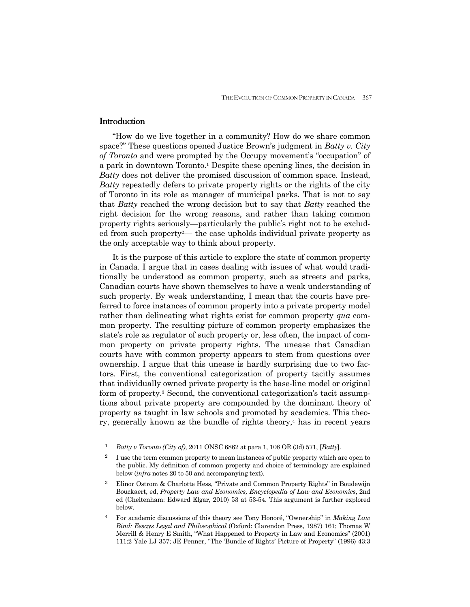## **Introduction**

-

 "How do we live together in a community? How do we share common space?" These questions opened Justice Brown's judgment in *Batty v. City of Toronto* and were prompted by the Occupy movement's "occupation" of a park in downtown Toronto.1 Despite these opening lines, the decision in *Batty* does not deliver the promised discussion of common space. Instead, *Batty* repeatedly defers to private property rights or the rights of the city of Toronto in its role as manager of municipal parks. That is not to say that *Batty* reached the wrong decision but to say that *Batty* reached the right decision for the wrong reasons, and rather than taking common property rights seriously—particularly the public's right not to be excluded from such property2— the case upholds individual private property as the only acceptable way to think about property.

 It is the purpose of this article to explore the state of common property in Canada. I argue that in cases dealing with issues of what would traditionally be understood as common property, such as streets and parks, Canadian courts have shown themselves to have a weak understanding of such property. By weak understanding, I mean that the courts have preferred to force instances of common property into a private property model rather than delineating what rights exist for common property *qua* common property. The resulting picture of common property emphasizes the state's role as regulator of such property or, less often, the impact of common property on private property rights. The unease that Canadian courts have with common property appears to stem from questions over ownership. I argue that this unease is hardly surprising due to two factors. First, the conventional categorization of property tacitly assumes that individually owned private property is the base-line model or original form of property.3 Second, the conventional categorization's tacit assumptions about private property are compounded by the dominant theory of property as taught in law schools and promoted by academics. This theory, generally known as the bundle of rights theory,<sup>4</sup> has in recent years

<sup>1</sup> *Batty v Toronto (City of)*, 2011 ONSC 6862 at para 1, 108 OR (3d) 571, [*Batty*].

<sup>&</sup>lt;sup>2</sup> I use the term common property to mean instances of public property which are open to the public. My definition of common property and choice of terminology are explained below (*infra* notes 20 to 50 and accompanying text).

<sup>3</sup> Elinor Ostrom & Charlotte Hess, "Private and Common Property Rights" in Boudewijn Bouckaert, ed, *Property Law and Economics, Encyclopedia of Law and Economics*, 2nd ed (Cheltenham: Edward Elgar, 2010) 53 at 53-54. This argument is further explored below.

<sup>4</sup> For academic discussions of this theory see Tony Honoré, "Ownership" in *Making Law Bind: Essays Legal and Philosophical* (Oxford: Clarendon Press, 1987) 161; Thomas W Merrill & Henry E Smith, "What Happened to Property in Law and Economics" (2001) 111:2 Yale LJ 357; JE Penner, "The 'Bundle of Rights' Picture of Property" (1996) 43:3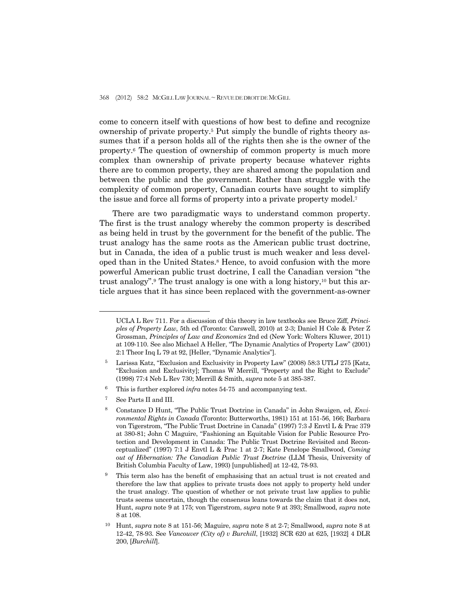come to concern itself with questions of how best to define and recognize ownership of private property.5 Put simply the bundle of rights theory assumes that if a person holds all of the rights then she is the owner of the property.6 The question of ownership of common property is much more complex than ownership of private property because whatever rights there are to common property, they are shared among the population and between the public and the government. Rather than struggle with the complexity of common property, Canadian courts have sought to simplify the issue and force all forms of property into a private property model.7

 There are two paradigmatic ways to understand common property. The first is the trust analogy whereby the common property is described as being held in trust by the government for the benefit of the public. The trust analogy has the same roots as the American public trust doctrine, but in Canada, the idea of a public trust is much weaker and less developed than in the United States.<sup>8</sup> Hence, to avoid confusion with the more powerful American public trust doctrine, I call the Canadian version "the trust analogy".9 The trust analogy is one with a long history,10 but this article argues that it has since been replaced with the government-as-owner

 $\overline{a}$ 

UCLA L Rev 711. For a discussion of this theory in law textbooks see Bruce Ziff, *Principles of Property Law*, 5th ed (Toronto: Carswell, 2010) at 2-3; Daniel H Cole & Peter Z Grossman, *Principles of Law and Economics* 2nd ed (New York: Wolters Kluwer, 2011) at 109-110. See also Michael A Heller, "The Dynamic Analytics of Property Law" (2001) 2:1 Theor Inq L 79 at 92, [Heller, "Dynamic Analytics"].

<sup>5</sup> Larissa Katz, "Exclusion and Exclusivity in Property Law" (2008) 58:3 UTLJ 275 [Katz, "Exclusion and Exclusivity]; Thomas W Merrill, "Property and the Right to Exclude" (1998) 77:4 Neb L Rev 730; Merrill & Smith, *supra* note 5 at 385-387.

<sup>6</sup> This is further explored *infra* notes 54-75 and accompanying text.

<sup>7</sup> See Parts II and III.

<sup>8</sup> Constance D Hunt, "The Public Trust Doctrine in Canada" in John Swaigen, ed, *Environmental Rights in Canada* (Toronto: Butterworths, 1981) 151 at 151-56, 166; Barbara von Tigerstrom, "The Public Trust Doctrine in Canada" (1997) 7:3 J Envtl L & Prac 379 at 380-81; John C Maguire, "Fashioning an Equitable Vision for Public Resource Protection and Development in Canada: The Public Trust Doctrine Revisited and Reconceptualized" (1997) 7:1 J Envtl L & Prac 1 at 2-7; Kate Penelope Smallwood, *Coming out of Hibernation: The Canadian Public Trust Doctrine* (LLM Thesis, University of British Columbia Faculty of Law, 1993) [unpublished] at 12-42, 78-93.

<sup>&</sup>lt;sup>9</sup> This term also has the benefit of emphasising that an actual trust is not created and therefore the law that applies to private trusts does not apply to property held under the trust analogy. The question of whether or not private trust law applies to public trusts seems uncertain, though the consensus leans towards the claim that it does not, Hunt, *supra* note 9 at 175; von Tigerstrom, *supra* note 9 at 393; Smallwood, *supra* note 8 at 108.

<sup>10</sup> Hunt, *supra* note 8 at 151-56; Maguire, *supra* note 8 at 2-7; Smallwood, *supra* note 8 at 12-42, 78-93. See *Vancouver (City of) v Burchill*, [1932] SCR 620 at 625, [1932] 4 DLR 200, [*Burchill*].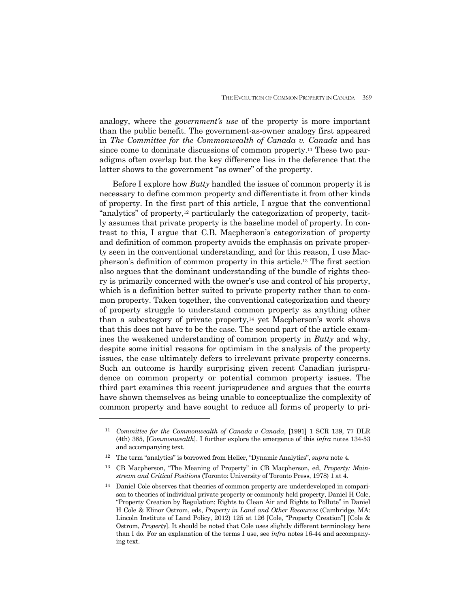analogy, where the *government's use* of the property is more important than the public benefit. The government-as-owner analogy first appeared in *The Committee for the Commonwealth of Canada v. Canada* and has since come to dominate discussions of common property.11 These two paradigms often overlap but the key difference lies in the deference that the latter shows to the government "as owner" of the property.

 Before I explore how *Batty* handled the issues of common property it is necessary to define common property and differentiate it from other kinds of property. In the first part of this article, I argue that the conventional "analytics" of property, $12$  particularly the categorization of property, tacitly assumes that private property is the baseline model of property. In contrast to this, I argue that C.B. Macpherson's categorization of property and definition of common property avoids the emphasis on private property seen in the conventional understanding, and for this reason, I use Macpherson's definition of common property in this article.13 The first section also argues that the dominant understanding of the bundle of rights theory is primarily concerned with the owner's use and control of his property, which is a definition better suited to private property rather than to common property. Taken together, the conventional categorization and theory of property struggle to understand common property as anything other than a subcategory of private property,<sup>14</sup> yet Macpherson's work shows that this does not have to be the case. The second part of the article examines the weakened understanding of common property in *Batty* and why, despite some initial reasons for optimism in the analysis of the property issues, the case ultimately defers to irrelevant private property concerns. Such an outcome is hardly surprising given recent Canadian jurisprudence on common property or potential common property issues. The third part examines this recent jurisprudence and argues that the courts have shown themselves as being unable to conceptualize the complexity of common property and have sought to reduce all forms of property to pri-

<sup>11</sup> *Committee for the Commonwealth of Canada v Canada*, [1991] 1 SCR 139, 77 DLR (4th) 385, [*Commonwealth*]. I further explore the emergence of this *infra* notes 134-53 and accompanying text.

<sup>12</sup> The term "analytics" is borrowed from Heller, "Dynamic Analytics", *supra* note 4.

<sup>13</sup> CB Macpherson, "The Meaning of Property" in CB Macpherson, ed, *Property: Mainstream and Critical Positions* (Toronto: University of Toronto Press, 1978) 1 at 4.

<sup>&</sup>lt;sup>14</sup> Daniel Cole observes that theories of common property are underdeveloped in comparison to theories of individual private property or commonly held property, Daniel H Cole, "Property Creation by Regulation: Rights to Clean Air and Rights to Pollute" in Daniel H Cole & Elinor Ostrom, eds, *Property in Land and Other Resources* (Cambridge, MA: Lincoln Institute of Land Policy, 2012) 125 at 126 [Cole, "Property Creation"] [Cole & Ostrom, *Property*]. It should be noted that Cole uses slightly different terminology here than I do. For an explanation of the terms I use, see *infra* notes 16-44 and accompanying text.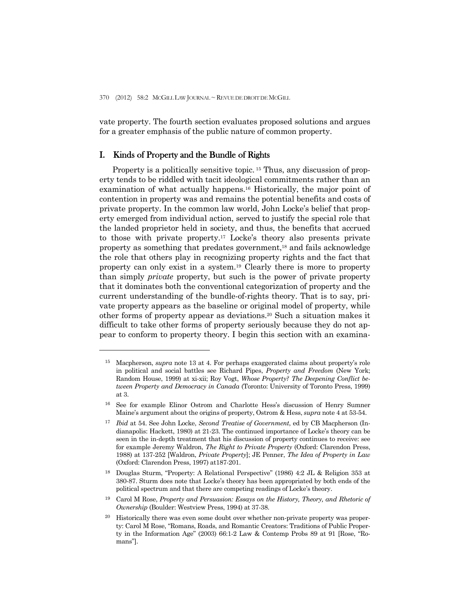vate property. The fourth section evaluates proposed solutions and argues for a greater emphasis of the public nature of common property.

## I. Kinds of Property and the Bundle of Rights

-

 Property is a politically sensitive topic. 15 Thus, any discussion of property tends to be riddled with tacit ideological commitments rather than an examination of what actually happens.16 Historically, the major point of contention in property was and remains the potential benefits and costs of private property. In the common law world, John Locke's belief that property emerged from individual action, served to justify the special role that the landed proprietor held in society, and thus, the benefits that accrued to those with private property.17 Locke's theory also presents private property as something that predates government,18 and fails acknowledge the role that others play in recognizing property rights and the fact that property can only exist in a system.19 Clearly there is more to property than simply *private* property, but such is the power of private property that it dominates both the conventional categorization of property and the current understanding of the bundle-of-rights theory. That is to say, private property appears as the baseline or original model of property, while other forms of property appear as deviations.20 Such a situation makes it difficult to take other forms of property seriously because they do not appear to conform to property theory. I begin this section with an examina-

<sup>15</sup> Macpherson, *supra* note 13 at 4. For perhaps exaggerated claims about property's role in political and social battles see Richard Pipes, *Property and Freedom* (New York; Random House, 1999) at xi-xii; Roy Vogt, *Whose Property? The Deepening Conflict between Property and Democracy in Canada* (Toronto: University of Toronto Press, 1999) at 3.

<sup>16</sup> See for example Elinor Ostrom and Charlotte Hess's discussion of Henry Sumner Maine's argument about the origins of property, Ostrom & Hess, *supra* note 4 at 53-54.

<sup>17</sup> *Ibid* at 54. See John Locke, *Second Treatise of Government*, ed by CB Macpherson (Indianapolis: Hackett, 1980) at 21-23. The continued importance of Locke's theory can be seen in the in-depth treatment that his discussion of property continues to receive: see for example Jeremy Waldron, *The Right to Private Property* (Oxford: Clarendon Press, 1988) at 137-252 [Waldron, *Private Property*]; JE Penner, *The Idea of Property in Law* (Oxford: Clarendon Press, 1997) at187-201.

<sup>18</sup> Douglas Sturm, "Property: A Relational Perspective" (1986) 4:2 JL & Religion 353 at 380-87. Sturm does note that Locke's theory has been appropriated by both ends of the political spectrum and that there are competing readings of Locke's theory.

<sup>19</sup> Carol M Rose, *Property and Persuasion: Essays on the History, Theory, and Rhetoric of Ownership* (Boulder: Westview Press, 1994) at 37-38.

<sup>&</sup>lt;sup>20</sup> Historically there was even some doubt over whether non-private property was property: Carol M Rose, "Romans, Roads, and Romantic Creators: Traditions of Public Property in the Information Age" (2003) 66:1-2 Law & Contemp Probs 89 at 91 [Rose, "Romans"].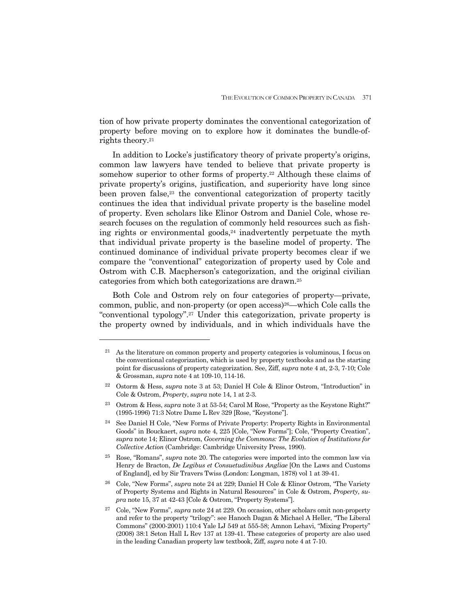tion of how private property dominates the conventional categorization of property before moving on to explore how it dominates the bundle-ofrights theory.21

 In addition to Locke's justificatory theory of private property's origins, common law lawyers have tended to believe that private property is somehow superior to other forms of property.<sup>22</sup> Although these claims of private property's origins, justification, and superiority have long since been proven false, $23$  the conventional categorization of property tacitly continues the idea that individual private property is the baseline model of property. Even scholars like Elinor Ostrom and Daniel Cole, whose research focuses on the regulation of commonly held resources such as fishing rights or environmental goods, $24$  inadvertently perpetuate the myth that individual private property is the baseline model of property. The continued dominance of individual private property becomes clear if we compare the "conventional" categorization of property used by Cole and Ostrom with C.B. Macpherson's categorization, and the original civilian categories from which both categorizations are drawn.25

 Both Cole and Ostrom rely on four categories of property—private, common, public, and non-property (or open access)26—which Cole calls the "conventional typology".27 Under this categorization, private property is the property owned by individuals, and in which individuals have the

As the literature on common property and property categories is voluminous, I focus on the conventional categorization, which is used by property textbooks and as the starting point for discussions of property categorization. See, Ziff, *supra* note 4 at, 2-3, 7-10; Cole & Grossman, *supra* note 4 at 109-10, 114-16.

<sup>22</sup> Ostorm & Hess, *supra* note 3 at 53; Daniel H Cole & Elinor Ostrom, "Introduction" in Cole & Ostrom, *Property*, *supra* note 14, 1 at 2-3.

<sup>23</sup> Ostrom & Hess, *supra* note 3 at 53-54; Carol M Rose, "Property as the Keystone Right?" (1995-1996) 71:3 Notre Dame L Rev 329 [Rose, "Keystone"].

<sup>24</sup> See Daniel H Cole, "New Forms of Private Property: Property Rights in Environmental Goods" in Bouckaert, *supra* note 4, 225 [Cole, "New Forms"]; Cole, "Property Creation", *supra* note 14; Elinor Ostrom, *Governing the Commons: The Evolution of Institutions for Collective Action* (Cambridge: Cambridge University Press, 1990).

<sup>25</sup> Rose, "Romans", *supra* note 20. The categories were imported into the common law via Henry de Bracton, *De Legibus et Consuetudinibus Angliae* [On the Laws and Customs of England], ed by Sir Travers Twiss (London: Longman, 1878) vol 1 at 39-41.

<sup>26</sup> Cole, "New Forms", *supra* note 24 at 229; Daniel H Cole & Elinor Ostrom, "The Variety of Property Systems and Rights in Natural Resources" in Cole & Ostrom, *Property*, *supra* note 15, 37 at 42-43 [Cole & Ostrom, "Property Systems"].

<sup>27</sup> Cole, "New Forms", *supra* note 24 at 229. On occasion, other scholars omit non-property and refer to the property "trilogy": see Hanoch Dagan & Michael A Heller, "The Liberal Commons" (2000-2001) 110:4 Yale LJ 549 at 555-58; Amnon Lehavi, "Mixing Property" (2008) 38:1 Seton Hall L Rev 137 at 139-41. These categories of property are also used in the leading Canadian property law textbook, Ziff, *supra* note 4 at 7-10.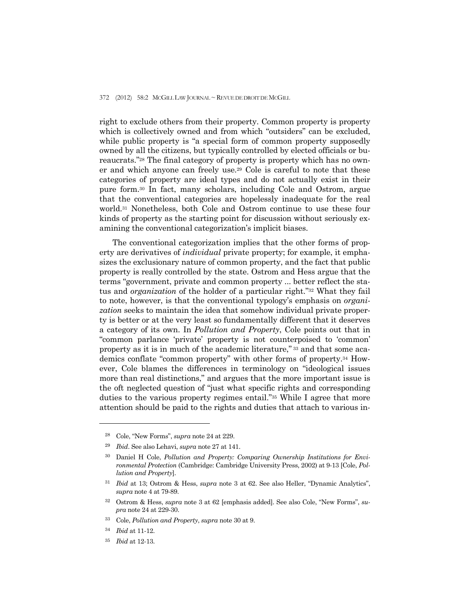right to exclude others from their property. Common property is property which is collectively owned and from which "outsiders" can be excluded, while public property is "a special form of common property supposedly owned by all the citizens, but typically controlled by elected officials or bureaucrats."28 The final category of property is property which has no owner and which anyone can freely use.29 Cole is careful to note that these categories of property are ideal types and do not actually exist in their pure form.30 In fact, many scholars, including Cole and Ostrom, argue that the conventional categories are hopelessly inadequate for the real world.31 Nonetheless, both Cole and Ostrom continue to use these four kinds of property as the starting point for discussion without seriously examining the conventional categorization's implicit biases.

 The conventional categorization implies that the other forms of property are derivatives of *individual* private property; for example, it emphasizes the exclusionary nature of common property, and the fact that public property is really controlled by the state. Ostrom and Hess argue that the terms "government, private and common property ... better reflect the status and *organization* of the holder of a particular right."32 What they fail to note, however, is that the conventional typology's emphasis on *organization* seeks to maintain the idea that somehow individual private property is better or at the very least so fundamentally different that it deserves a category of its own. In *Pollution and Property*, Cole points out that in "common parlance 'private' property is not counterpoised to 'common' property as it is in much of the academic literature," 33 and that some academics conflate "common property" with other forms of property.34 However, Cole blames the differences in terminology on "ideological issues more than real distinctions," and argues that the more important issue is the oft neglected question of "just what specific rights and corresponding duties to the various property regimes entail."35 While I agree that more attention should be paid to the rights and duties that attach to various in-

<sup>28</sup> Cole, "New Forms", *supra* note 24 at 229.

<sup>29</sup> *Ibid*. See also Lehavi, *supra* note 27 at 141.

<sup>30</sup> Daniel H Cole, *Pollution and Property: Comparing Ownership Institutions for Environmental Protection* (Cambridge: Cambridge University Press, 2002) at 9-13 [Cole, *Pollution and Property*].

<sup>31</sup> *Ibid* at 13; Ostrom & Hess, *supra* note 3 at 62. See also Heller, "Dynamic Analytics", *supra* note 4 at 79-89.

<sup>32</sup> Ostrom & Hess, *supra* note 3 at 62 [emphasis added]. See also Cole, "New Forms", *supra* note 24 at 229-30.

<sup>33</sup> Cole, *Pollution and Property*, *supra* note 30 at 9.

<sup>34</sup> *Ibid* at 11-12.

<sup>35</sup> *Ibid* at 12-13.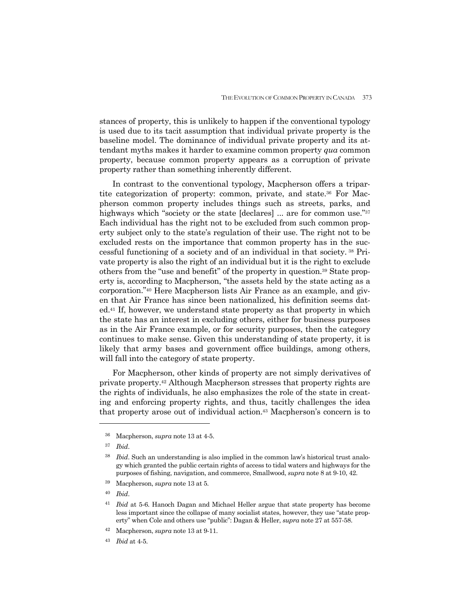stances of property, this is unlikely to happen if the conventional typology is used due to its tacit assumption that individual private property is the baseline model. The dominance of individual private property and its attendant myths makes it harder to examine common property *qua* common property, because common property appears as a corruption of private property rather than something inherently different.

 In contrast to the conventional typology, Macpherson offers a tripartite categorization of property: common, private, and state.36 For Macpherson common property includes things such as streets, parks, and highways which "society or the state [declares] ... are for common use."<sup>37</sup> Each individual has the right not to be excluded from such common property subject only to the state's regulation of their use. The right not to be excluded rests on the importance that common property has in the successful functioning of a society and of an individual in that society. 38 Private property is also the right of an individual but it is the right to exclude others from the "use and benefit" of the property in question.39 State property is, according to Macpherson, "the assets held by the state acting as a corporation."40 Here Macpherson lists Air France as an example, and given that Air France has since been nationalized, his definition seems dated.41 If, however, we understand state property as that property in which the state has an interest in excluding others, either for business purposes as in the Air France example, or for security purposes, then the category continues to make sense. Given this understanding of state property, it is likely that army bases and government office buildings, among others, will fall into the category of state property.

 For Macpherson, other kinds of property are not simply derivatives of private property.42 Although Macpherson stresses that property rights are the rights of individuals, he also emphasizes the role of the state in creating and enforcing property rights, and thus, tacitly challenges the idea that property arose out of individual action.43 Macpherson's concern is to

<sup>36</sup> Macpherson, *supra* note 13 at 4-5.

<sup>37</sup> *Ibid*.

<sup>38</sup> *Ibid*. Such an understanding is also implied in the common law's historical trust analogy which granted the public certain rights of access to tidal waters and highways for the purposes of fishing, navigation, and commerce, Smallwood, *supra* note 8 at 9-10, 42.

<sup>39</sup> Macpherson, *supra* note 13 at 5.

<sup>40</sup> *Ibid*.

<sup>41</sup> *Ibid* at 5-6. Hanoch Dagan and Michael Heller argue that state property has become less important since the collapse of many socialist states, however, they use "state property" when Cole and others use "public": Dagan & Heller, *supra* note 27 at 557-58.

<sup>42</sup> Macpherson, *supra* note 13 at 9-11.

<sup>43</sup> *Ibid* at 4-5.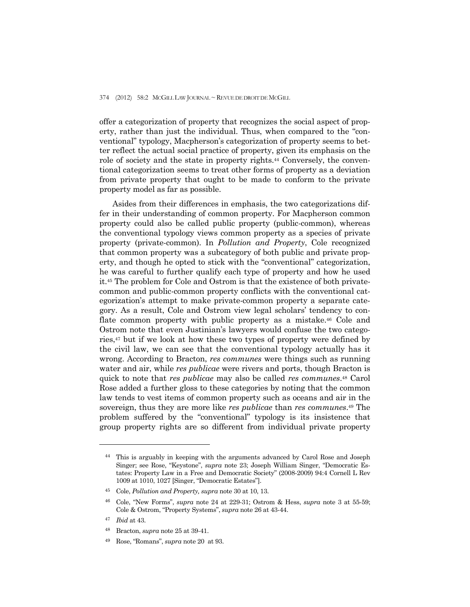offer a categorization of property that recognizes the social aspect of property, rather than just the individual. Thus, when compared to the "conventional" typology, Macpherson's categorization of property seems to better reflect the actual social practice of property, given its emphasis on the role of society and the state in property rights.44 Conversely, the conventional categorization seems to treat other forms of property as a deviation from private property that ought to be made to conform to the private property model as far as possible.

 Asides from their differences in emphasis, the two categorizations differ in their understanding of common property. For Macpherson common property could also be called public property (public-common), whereas the conventional typology views common property as a species of private property (private-common). In *Pollution and Property*, Cole recognized that common property was a subcategory of both public and private property, and though he opted to stick with the "conventional" categorization, he was careful to further qualify each type of property and how he used it.45 The problem for Cole and Ostrom is that the existence of both privatecommon and public-common property conflicts with the conventional categorization's attempt to make private-common property a separate category. As a result, Cole and Ostrom view legal scholars' tendency to conflate common property with public property as a mistake.<sup>46</sup> Cole and Ostrom note that even Justinian's lawyers would confuse the two categories,47 but if we look at how these two types of property were defined by the civil law, we can see that the conventional typology actually has it wrong. According to Bracton, *res communes* were things such as running water and air, while *res publicae* were rivers and ports, though Bracton is quick to note that *res publicae* may also be called *res communes*.48 Carol Rose added a further gloss to these categories by noting that the common law tends to vest items of common property such as oceans and air in the sovereign, thus they are more like *res publicae* than *res communes*.49 The problem suffered by the "conventional" typology is its insistence that group property rights are so different from individual private property

<sup>44</sup> This is arguably in keeping with the arguments advanced by Carol Rose and Joseph Singer; see Rose, "Keystone", *supra* note 23; Joseph William Singer, "Democratic Estates: Property Law in a Free and Democratic Society" (2008-2009) 94:4 Cornell L Rev 1009 at 1010, 1027 [Singer, "Democratic Estates"].

<sup>45</sup> Cole, *Pollution and Property, supra* note 30 at 10, 13.

<sup>46</sup> Cole, "New Forms", *supra* note 24 at 229-31; Ostrom & Hess, *supra* note 3 at 55-59; Cole & Ostrom, "Property Systems", *supra* note 26 at 43-44.

<sup>47</sup> *Ibid* at 43.

<sup>48</sup> Bracton, *supra* note 25 at 39-41.

<sup>49</sup> Rose, "Romans", *supra* note 20 at 93.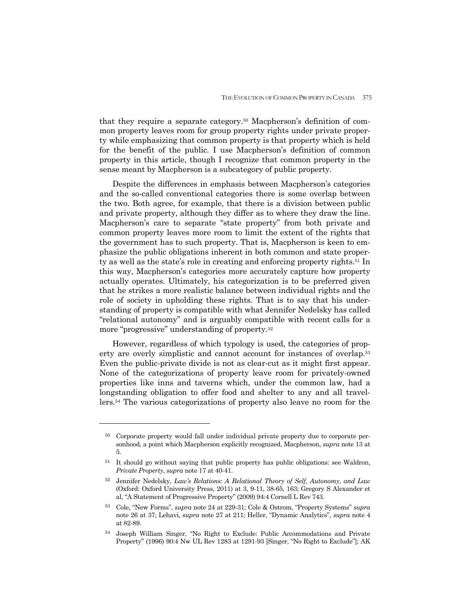that they require a separate category.50 Macpherson's definition of common property leaves room for group property rights under private property while emphasizing that common property is that property which is held for the benefit of the public. I use Macpherson's definition of common property in this article, though I recognize that common property in the sense meant by Macpherson is a subcategory of public property.

 Despite the differences in emphasis between Macpherson's categories and the so-called conventional categories there is some overlap between the two. Both agree, for example, that there is a division between public and private property, although they differ as to where they draw the line. Macpherson's care to separate "state property" from both private and common property leaves more room to limit the extent of the rights that the government has to such property. That is, Macpherson is keen to emphasize the public obligations inherent in both common and state property as well as the state's role in creating and enforcing property rights.<sup>51</sup> In this way, Macpherson's categories more accurately capture how property actually operates. Ultimately, his categorization is to be preferred given that he strikes a more realistic balance between individual rights and the role of society in upholding these rights. That is to say that his understanding of property is compatible with what Jennifer Nedelsky has called "relational autonomy" and is arguably compatible with recent calls for a more "progressive" understanding of property.52

 However, regardless of which typology is used, the categories of property are overly simplistic and cannot account for instances of overlap.53 Even the public-private divide is not as clear-cut as it might first appear. None of the categorizations of property leave room for privately-owned properties like inns and taverns which, under the common law, had a longstanding obligation to offer food and shelter to any and all travellers.54 The various categorizations of property also leave no room for the

<sup>50</sup> Corporate property would fall under individual private property due to corporate personhood, a point which Macpherson explicitly recognized, Macpherson, *supra* note 13 at 5.

<sup>&</sup>lt;sup>51</sup> It should go without saying that public property has public obligations: see Waldron, *Private Property*, *supra* note 17 at 40-41.

<sup>52</sup> Jennifer Nedelsky, *Law's Relations: A Relational Theory of Self, Autonomy, and Law* (Oxford: Oxford University Press, 2011) at 3, 9-11, 38-65, 163; Gregory S Alexander et al, "A Statement of Progressive Property" (2009) 94:4 Cornell L Rev 743.

<sup>53</sup> Cole, "New Forms", *supra* note 24 at 229-31; Cole & Ostrom, "Property Systems" *supra* note 26 at 37; Lehavi, *supra* note 27 at 211; Heller, "Dynamic Analytics", *supra* note 4 at 82-89.

<sup>54</sup> Joseph William Singer, "No Right to Exclude: Public Accommodations and Private Property" (1996) 90:4 Nw UL Rev 1283 at 1291-93 [Singer, "No Right to Exclude"]; AK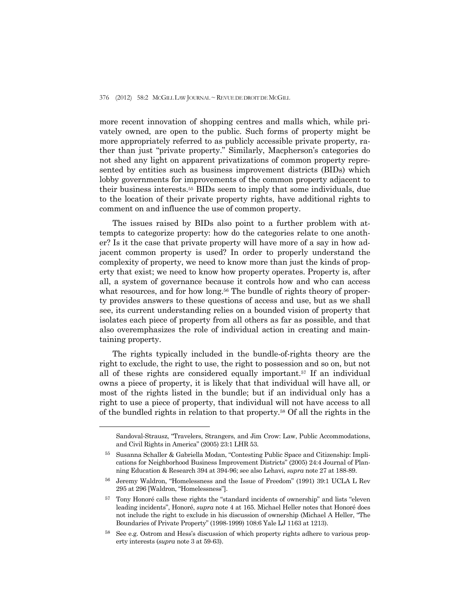more recent innovation of shopping centres and malls which, while privately owned, are open to the public. Such forms of property might be more appropriately referred to as publicly accessible private property, rather than just "private property." Similarly, Macpherson's categories do not shed any light on apparent privatizations of common property represented by entities such as business improvement districts (BIDs) which lobby governments for improvements of the common property adjacent to their business interests.55 BIDs seem to imply that some individuals, due to the location of their private property rights, have additional rights to comment on and influence the use of common property.

 The issues raised by BIDs also point to a further problem with attempts to categorize property: how do the categories relate to one another? Is it the case that private property will have more of a say in how adjacent common property is used? In order to properly understand the complexity of property, we need to know more than just the kinds of property that exist; we need to know how property operates. Property is, after all, a system of governance because it controls how and who can access what resources, and for how long.<sup>56</sup> The bundle of rights theory of property provides answers to these questions of access and use, but as we shall see, its current understanding relies on a bounded vision of property that isolates each piece of property from all others as far as possible, and that also overemphasizes the role of individual action in creating and maintaining property.

 The rights typically included in the bundle-of-rights theory are the right to exclude, the right to use, the right to possession and so on, but not all of these rights are considered equally important.57 If an individual owns a piece of property, it is likely that that individual will have all, or most of the rights listed in the bundle; but if an individual only has a right to use a piece of property, that individual will not have access to all of the bundled rights in relation to that property.58 Of all the rights in the

 $\overline{a}$ 

Sandoval-Strausz, "Travelers, Strangers, and Jim Crow: Law, Public Accommodations, and Civil Rights in America" (2005) 23:1 LHR 53.

<sup>55</sup> Susanna Schaller & Gabriella Modan, "Contesting Public Space and Citizenship: Implications for Neighborhood Business Improvement Districts" (2005) 24:4 Journal of Planning Education & Research 394 at 394-96; see also Lehavi, *supra* note 27 at 188-89.

<sup>56</sup> Jeremy Waldron, "Homelessness and the Issue of Freedom" (1991) 39:1 UCLA L Rev 295 at 296 [Waldron, "Homelessness"].

<sup>&</sup>lt;sup>57</sup> Tony Honoré calls these rights the "standard incidents of ownership" and lists "eleven leading incidents", Honoré, *supra* note 4 at 165. Michael Heller notes that Honoré does not include the right to exclude in his discussion of ownership (Michael A Heller, "The Boundaries of Private Property" (1998-1999) 108:6 Yale LJ 1163 at 1213).

<sup>&</sup>lt;sup>58</sup> See e.g. Ostrom and Hess's discussion of which property rights adhere to various property interests (*supra* note 3 at 59-63).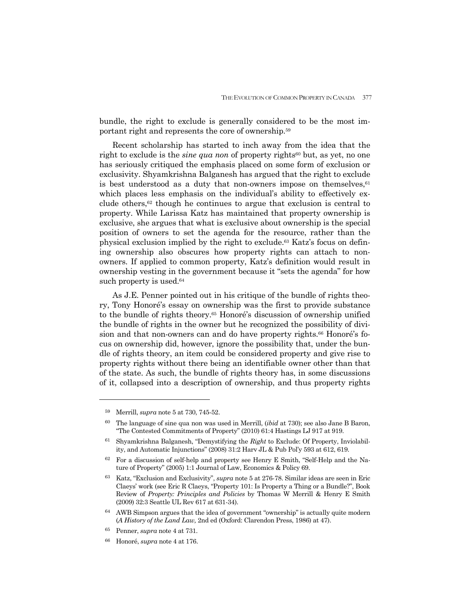bundle, the right to exclude is generally considered to be the most important right and represents the core of ownership.59

 Recent scholarship has started to inch away from the idea that the right to exclude is the *sine qua non* of property rights<sup>60</sup> but, as yet, no one has seriously critiqued the emphasis placed on some form of exclusion or exclusivity. Shyamkrishna Balganesh has argued that the right to exclude is best understood as a duty that non-owners impose on themselves,  $61$ which places less emphasis on the individual's ability to effectively exclude others,<sup>62</sup> though he continues to argue that exclusion is central to property. While Larissa Katz has maintained that property ownership is exclusive, she argues that what is exclusive about ownership is the special position of owners to set the agenda for the resource, rather than the physical exclusion implied by the right to exclude.63 Katz's focus on defining ownership also obscures how property rights can attach to nonowners. If applied to common property, Katz's definition would result in ownership vesting in the government because it "sets the agenda" for how such property is used.<sup>64</sup>

 As J.E. Penner pointed out in his critique of the bundle of rights theory, Tony Honoré's essay on ownership was the first to provide substance to the bundle of rights theory.65 Honoré's discussion of ownership unified the bundle of rights in the owner but he recognized the possibility of division and that non-owners can and do have property rights.<sup>66</sup> Honoré's focus on ownership did, however, ignore the possibility that, under the bundle of rights theory, an item could be considered property and give rise to property rights without there being an identifiable owner other than that of the state. As such, the bundle of rights theory has, in some discussions of it, collapsed into a description of ownership, and thus property rights

<sup>59</sup> Merrill, *supra* note 5 at 730, 745-52.

<sup>60</sup> The language of sine qua non was used in Merrill, (*ibid* at 730); see also Jane B Baron, "The Contested Commitments of Property" (2010) 61:4 Hastings LJ 917 at 919.

<sup>61</sup> Shyamkrishna Balganesh, "Demystifying the *Right* to Exclude: Of Property, Inviolability, and Automatic Injunctions" (2008) 31:2 Harv JL & Pub Pol'y 593 at 612, 619.

<sup>62</sup> For a discussion of self-help and property see Henry E Smith, "Self-Help and the Nature of Property" (2005) 1:1 Journal of Law, Economics & Policy 69.

<sup>63</sup> Katz, "Exclusion and Exclusivity", *supra* note 5 at 276-78. Similar ideas are seen in Eric Claeys' work (see Eric R Claeys, "Property 101: Is Property a Thing or a Bundle?", Book Review of *Property: Principles and Policies* by Thomas W Merrill & Henry E Smith (2009) 32:3 Seattle UL Rev 617 at 631-34).

 $64$  AWB Simpson argues that the idea of government "ownership" is actually quite modern (*A History of the Land Law,* 2nd ed (Oxford: Clarendon Press, 1986) at 47).

<sup>65</sup> Penner, *supra* note 4 at 731.

<sup>66</sup> Honoré, *supra* note 4 at 176.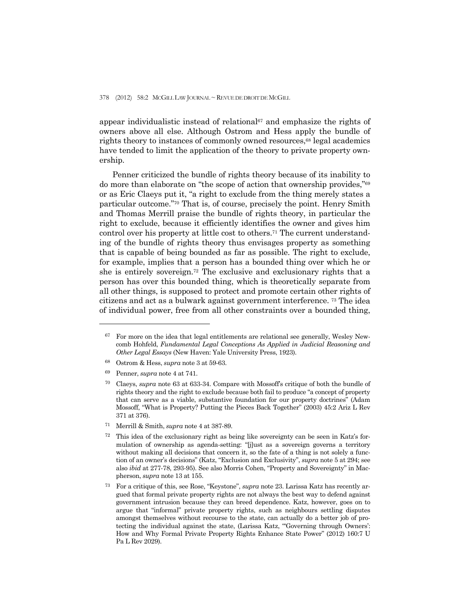appear individualistic instead of relational<sup> $67$ </sup> and emphasize the rights of owners above all else. Although Ostrom and Hess apply the bundle of rights theory to instances of commonly owned resources,<sup>68</sup> legal academics have tended to limit the application of the theory to private property ownership.

 Penner criticized the bundle of rights theory because of its inability to do more than elaborate on "the scope of action that ownership provides,"69 or as Eric Claeys put it, "a right to exclude from the thing merely states a particular outcome."70 That is, of course, precisely the point. Henry Smith and Thomas Merrill praise the bundle of rights theory, in particular the right to exclude, because it efficiently identifies the owner and gives him control over his property at little cost to others.71 The current understanding of the bundle of rights theory thus envisages property as something that is capable of being bounded as far as possible. The right to exclude, for example, implies that a person has a bounded thing over which he or she is entirely sovereign.72 The exclusive and exclusionary rights that a person has over this bounded thing, which is theoretically separate from all other things, is supposed to protect and promote certain other rights of citizens and act as a bulwark against government interference. 73 The idea of individual power, free from all other constraints over a bounded thing,

- 68 Ostrom & Hess, *supra* note 3 at 59-63.
- 69 Penner, *supra* note 4 at 741.

-

71 Merrill & Smith, *supra* note 4 at 387-89.

<sup>67</sup> For more on the idea that legal entitlements are relational see generally, Wesley Newcomb Hohfeld, *Fundamental Legal Conceptions As Applied in Judicial Reasoning and Other Legal Essays* (New Haven: Yale University Press, 1923).

<sup>70</sup> Claeys, *supra* note 63 at 633-34. Compare with Mossoff's critique of both the bundle of rights theory and the right to exclude because both fail to produce "a concept of property that can serve as a viable, substantive foundation for our property doctrines" (Adam Mossoff, "What is Property? Putting the Pieces Back Together" (2003) 45:2 Ariz L Rev 371 at 376).

<sup>72</sup> This idea of the exclusionary right as being like sovereignty can be seen in Katz's formulation of ownership as agenda-setting: "[j]ust as a sovereign governs a territory without making all decisions that concern it, so the fate of a thing is not solely a function of an owner's decisions" (Katz, "Exclusion and Exclusivity", *supra* note 5 at 294; see also *ibid* at 277-78, 293-95). See also Morris Cohen, "Property and Sovereignty" in Macpherson, *supra* note 13 at 155.

<sup>73</sup> For a critique of this, see Rose, "Keystone", *supra* note 23. Larissa Katz has recently argued that formal private property rights are not always the best way to defend against government intrusion because they can breed dependence. Katz, however, goes on to argue that "informal" private property rights, such as neighbours settling disputes amongst themselves without recourse to the state, can actually do a better job of protecting the individual against the state, (Larissa Katz, "'Governing through Owners': How and Why Formal Private Property Rights Enhance State Power" (2012) 160:7 U Pa L Rev 2029).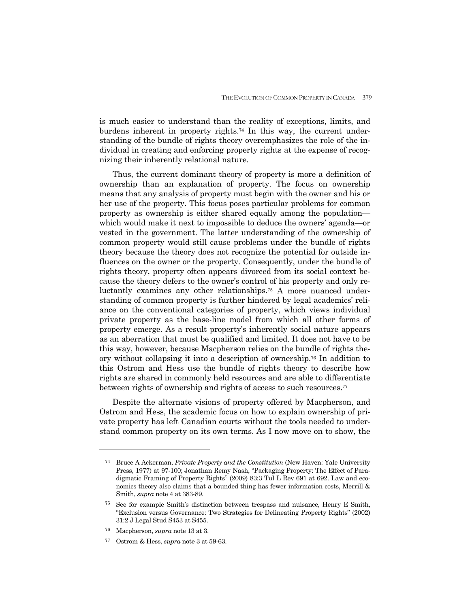is much easier to understand than the reality of exceptions, limits, and burdens inherent in property rights.74 In this way, the current understanding of the bundle of rights theory overemphasizes the role of the individual in creating and enforcing property rights at the expense of recognizing their inherently relational nature.

 Thus, the current dominant theory of property is more a definition of ownership than an explanation of property. The focus on ownership means that any analysis of property must begin with the owner and his or her use of the property. This focus poses particular problems for common property as ownership is either shared equally among the population which would make it next to impossible to deduce the owners' agenda—or vested in the government. The latter understanding of the ownership of common property would still cause problems under the bundle of rights theory because the theory does not recognize the potential for outside influences on the owner or the property. Consequently, under the bundle of rights theory, property often appears divorced from its social context because the theory defers to the owner's control of his property and only reluctantly examines any other relationships.75 A more nuanced understanding of common property is further hindered by legal academics' reliance on the conventional categories of property, which views individual private property as the base-line model from which all other forms of property emerge. As a result property's inherently social nature appears as an aberration that must be qualified and limited. It does not have to be this way, however, because Macpherson relies on the bundle of rights theory without collapsing it into a description of ownership.76 In addition to this Ostrom and Hess use the bundle of rights theory to describe how rights are shared in commonly held resources and are able to differentiate between rights of ownership and rights of access to such resources.77

 Despite the alternate visions of property offered by Macpherson, and Ostrom and Hess, the academic focus on how to explain ownership of private property has left Canadian courts without the tools needed to understand common property on its own terms. As I now move on to show, the

<sup>74</sup> Bruce A Ackerman, *Private Property and the Constitution* (New Haven: Yale University Press, 1977) at 97-100; Jonathan Remy Nash, "Packaging Property: The Effect of Paradigmatic Framing of Property Rights" (2009) 83:3 Tul L Rev 691 at 692. Law and economics theory also claims that a bounded thing has fewer information costs, Merrill & Smith, *supra* note 4 at 383-89.

<sup>75</sup> See for example Smith's distinction between trespass and nuisance, Henry E Smith, "Exclusion versus Governance: Two Strategies for Delineating Property Rights" (2002) 31:2 J Legal Stud S453 at S455.

<sup>76</sup> Macpherson, *supra* note 13 at 3.

<sup>77</sup> Ostrom & Hess, *supra* note 3 at 59-63.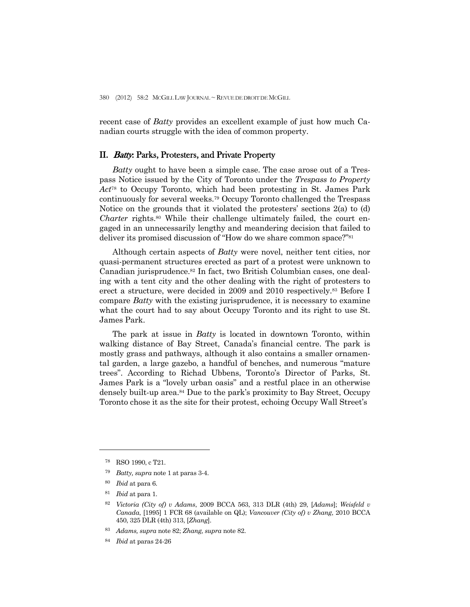recent case of *Batty* provides an excellent example of just how much Canadian courts struggle with the idea of common property.

#### II. *Batty*: Parks, Protesters, and Private Property

 *Batty* ought to have been a simple case. The case arose out of a Trespass Notice issued by the City of Toronto under the *Trespass to Property Act*78 to Occupy Toronto, which had been protesting in St. James Park continuously for several weeks.79 Occupy Toronto challenged the Trespass Notice on the grounds that it violated the protesters' sections  $2(a)$  to  $(d)$ *Charter* rights.<sup>80</sup> While their challenge ultimately failed, the court engaged in an unnecessarily lengthy and meandering decision that failed to deliver its promised discussion of "How do we share common space?"81

 Although certain aspects of *Batty* were novel, neither tent cities, nor quasi-permanent structures erected as part of a protest were unknown to Canadian jurisprudence.82 In fact, two British Columbian cases, one dealing with a tent city and the other dealing with the right of protesters to erect a structure, were decided in 2009 and 2010 respectively.83 Before I compare *Batty* with the existing jurisprudence, it is necessary to examine what the court had to say about Occupy Toronto and its right to use St. James Park.

 The park at issue in *Batty* is located in downtown Toronto, within walking distance of Bay Street, Canada's financial centre. The park is mostly grass and pathways, although it also contains a smaller ornamental garden, a large gazebo, a handful of benches, and numerous "mature trees". According to Richad Ubbens, Toronto's Director of Parks, St. James Park is a "lovely urban oasis" and a restful place in an otherwise densely built-up area.84 Due to the park's proximity to Bay Street, Occupy Toronto chose it as the site for their protest, echoing Occupy Wall Street's

<sup>78</sup> RSO 1990, c T21.

<sup>79</sup> *Batty, supra* note 1 at paras 3-4.

<sup>80</sup> *Ibid* at para 6.

<sup>81</sup> *Ibid* at para 1.

<sup>82</sup> *Victoria (City of) v Adams*, 2009 BCCA 563, 313 DLR (4th) 29, [*Adams*]; *Weisfeld v Canada*, [1995] 1 FCR 68 (available on QL); *Vancouver (City of) v Zhang*, 2010 BCCA 450, 325 DLR (4th) 313, [*Zhang*].

<sup>83</sup> *Adams, supra* note 82; *Zhang, supra* note 82.

<sup>84</sup> *Ibid* at paras 24-26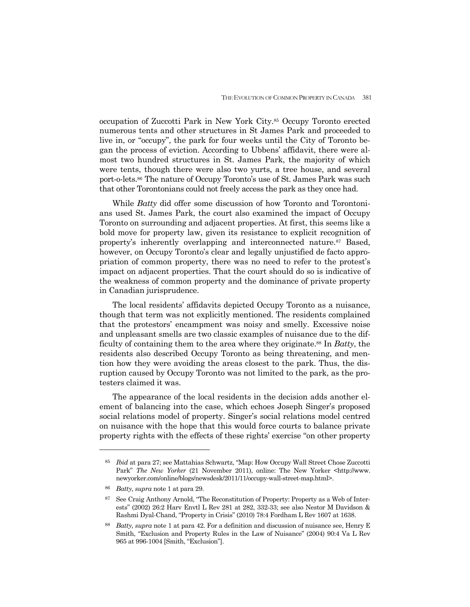occupation of Zuccotti Park in New York City.85 Occupy Toronto erected numerous tents and other structures in St James Park and proceeded to live in, or "occupy", the park for four weeks until the City of Toronto began the process of eviction. According to Ubbens' affidavit, there were almost two hundred structures in St. James Park, the majority of which were tents, though there were also two yurts, a tree house, and several port-o-lets.86 The nature of Occupy Toronto's use of St. James Park was such that other Torontonians could not freely access the park as they once had.

 While *Batty* did offer some discussion of how Toronto and Torontonians used St. James Park, the court also examined the impact of Occupy Toronto on surrounding and adjacent properties. At first, this seems like a bold move for property law, given its resistance to explicit recognition of property's inherently overlapping and interconnected nature.87 Based, however, on Occupy Toronto's clear and legally unjustified de facto appropriation of common property, there was no need to refer to the protest's impact on adjacent properties. That the court should do so is indicative of the weakness of common property and the dominance of private property in Canadian jurisprudence.

 The local residents' affidavits depicted Occupy Toronto as a nuisance, though that term was not explicitly mentioned. The residents complained that the protestors' encampment was noisy and smelly. Excessive noise and unpleasant smells are two classic examples of nuisance due to the difficulty of containing them to the area where they originate.88 In *Batty*, the residents also described Occupy Toronto as being threatening, and mention how they were avoiding the areas closest to the park. Thus, the disruption caused by Occupy Toronto was not limited to the park, as the protesters claimed it was.

 The appearance of the local residents in the decision adds another element of balancing into the case, which echoes Joseph Singer's proposed social relations model of property. Singer's social relations model centred on nuisance with the hope that this would force courts to balance private property rights with the effects of these rights' exercise "on other property

<sup>85</sup> *Ibid* at para 27; see Mattahias Schwartz, "Map: How Occupy Wall Street Chose Zuccotti Park" *The New Yorker* (21 November 2011), online: The New Yorker <http://www. newyorker.com/online/blogs/newsdesk/2011/11/occupy-wall-street-map.html>.

<sup>86</sup> *Batty, supra* note 1 at para 29.

<sup>87</sup> See Craig Anthony Arnold, "The Reconstitution of Property: Property as a Web of Interests" (2002) 26:2 Harv Envtl L Rev 281 at 282, 332-33; see also Nestor M Davidson & Rashmi Dyal-Chand, "Property in Crisis" (2010) 78:4 Fordham L Rev 1607 at 1638.

<sup>88</sup> *Batty, supra* note 1 at para 42. For a definition and discussion of nuisance see, Henry E Smith, "Exclusion and Property Rules in the Law of Nuisance" (2004) 90:4 Va L Rev 965 at 996-1004 [Smith, "Exclusion"].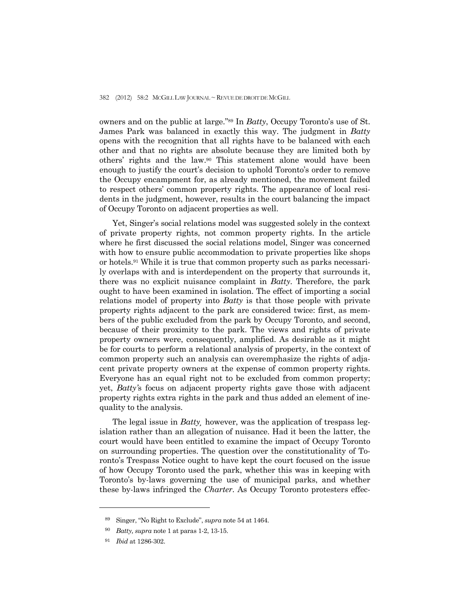owners and on the public at large."89 In *Batty*, Occupy Toronto's use of St. James Park was balanced in exactly this way. The judgment in *Batty* opens with the recognition that all rights have to be balanced with each other and that no rights are absolute because they are limited both by others' rights and the law.90 This statement alone would have been enough to justify the court's decision to uphold Toronto's order to remove the Occupy encampment for, as already mentioned, the movement failed to respect others' common property rights. The appearance of local residents in the judgment, however, results in the court balancing the impact of Occupy Toronto on adjacent properties as well.

 Yet, Singer's social relations model was suggested solely in the context of private property rights, not common property rights. In the article where he first discussed the social relations model, Singer was concerned with how to ensure public accommodation to private properties like shops or hotels.91 While it is true that common property such as parks necessarily overlaps with and is interdependent on the property that surrounds it, there was no explicit nuisance complaint in *Batty*. Therefore, the park ought to have been examined in isolation. The effect of importing a social relations model of property into *Batty* is that those people with private property rights adjacent to the park are considered twice: first, as members of the public excluded from the park by Occupy Toronto, and second, because of their proximity to the park. The views and rights of private property owners were, consequently, amplified. As desirable as it might be for courts to perform a relational analysis of property, in the context of common property such an analysis can overemphasize the rights of adjacent private property owners at the expense of common property rights. Everyone has an equal right not to be excluded from common property; yet, *Batty'*s focus on adjacent property rights gave those with adjacent property rights extra rights in the park and thus added an element of inequality to the analysis.

The legal issue in *Batty*, however, was the application of trespass legislation rather than an allegation of nuisance. Had it been the latter, the court would have been entitled to examine the impact of Occupy Toronto on surrounding properties. The question over the constitutionality of Toronto's Trespass Notice ought to have kept the court focused on the issue of how Occupy Toronto used the park, whether this was in keeping with Toronto's by-laws governing the use of municipal parks, and whether these by-laws infringed the *Charter*. As Occupy Toronto protesters effec-

<sup>89</sup> Singer, "No Right to Exclude", *supra* note 54 at 1464.

<sup>90</sup> *Batty, supra* note 1 at paras 1-2, 13-15.

<sup>91</sup> *Ibid* at 1286-302.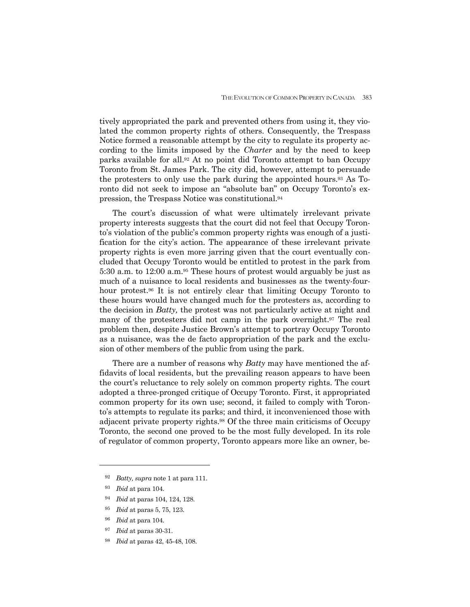tively appropriated the park and prevented others from using it, they violated the common property rights of others. Consequently, the Trespass Notice formed a reasonable attempt by the city to regulate its property according to the limits imposed by the *Charter* and by the need to keep parks available for all.92 At no point did Toronto attempt to ban Occupy Toronto from St. James Park. The city did, however, attempt to persuade the protesters to only use the park during the appointed hours.93 As Toronto did not seek to impose an "absolute ban" on Occupy Toronto's expression, the Trespass Notice was constitutional.94

 The court's discussion of what were ultimately irrelevant private property interests suggests that the court did not feel that Occupy Toronto's violation of the public's common property rights was enough of a justification for the city's action. The appearance of these irrelevant private property rights is even more jarring given that the court eventually concluded that Occupy Toronto would be entitled to protest in the park from 5:30 a.m. to 12:00 a.m.95 These hours of protest would arguably be just as much of a nuisance to local residents and businesses as the twenty-fourhour protest.96 It is not entirely clear that limiting Occupy Toronto to these hours would have changed much for the protesters as, according to the decision in *Batty,* the protest was not particularly active at night and many of the protesters did not camp in the park overnight.97 The real problem then, despite Justice Brown's attempt to portray Occupy Toronto as a nuisance, was the de facto appropriation of the park and the exclusion of other members of the public from using the park.

 There are a number of reasons why *Batty* may have mentioned the affidavits of local residents, but the prevailing reason appears to have been the court's reluctance to rely solely on common property rights. The court adopted a three-pronged critique of Occupy Toronto. First, it appropriated common property for its own use; second, it failed to comply with Toronto's attempts to regulate its parks; and third, it inconvenienced those with adjacent private property rights.98 Of the three main criticisms of Occupy Toronto, the second one proved to be the most fully developed. In its role of regulator of common property, Toronto appears more like an owner, be-

- <sup>92</sup> *Batty, supra* note 1 at para 111.
- <sup>93</sup> *Ibid* at para 104.

- <sup>94</sup> *Ibid* at paras 104, 124, 128.
- <sup>95</sup> *Ibid* at paras 5, 75, 123.
- <sup>96</sup> *Ibid* at para 104.
- <sup>97</sup> *Ibid* at paras 30-31.
- 98 *Ibid* at paras 42, 45-48, 108.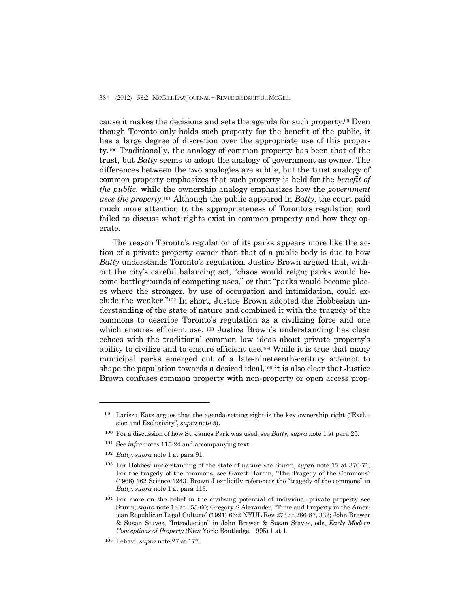cause it makes the decisions and sets the agenda for such property.99 Even though Toronto only holds such property for the benefit of the public, it has a large degree of discretion over the appropriate use of this property.100 Traditionally, the analogy of common property has been that of the trust, but *Batty* seems to adopt the analogy of government as owner. The differences between the two analogies are subtle, but the trust analogy of common property emphasizes that such property is held for the *benefit of the public*, while the ownership analogy emphasizes how the *government uses the property*.101 Although the public appeared in *Batty*, the court paid much more attention to the appropriateness of Toronto's regulation and failed to discuss what rights exist in common property and how they operate.

 The reason Toronto's regulation of its parks appears more like the action of a private property owner than that of a public body is due to how *Batty* understands Toronto's regulation. Justice Brown argued that, without the city's careful balancing act, "chaos would reign; parks would become battlegrounds of competing uses," or that "parks would become places where the stronger, by use of occupation and intimidation, could exclude the weaker."102 In short, Justice Brown adopted the Hobbesian understanding of the state of nature and combined it with the tragedy of the commons to describe Toronto's regulation as a civilizing force and one which ensures efficient use. 103 Justice Brown's understanding has clear echoes with the traditional common law ideas about private property's ability to civilize and to ensure efficient use.104 While it is true that many municipal parks emerged out of a late-nineteenth-century attempt to shape the population towards a desired ideal,  $105$  it is also clear that Justice Brown confuses common property with non-property or open access prop-

<sup>99</sup> Larissa Katz argues that the agenda-setting right is the key ownership right ("Exclusion and Exclusivity", *supra* note 5).

<sup>100</sup> For a discussion of how St. James Park was used, see *Batty, supra* note 1 at para 25.

<sup>101</sup> See *infra* notes 115-24 and accompanying text.

<sup>102</sup> *Batty, supra* note 1 at para 91.

<sup>103</sup> For Hobbes' understanding of the state of nature see Sturm, *supra* note 17 at 370-71. For the tragedy of the commons, see Garett Hardin, "The Tragedy of the Commons" (1968) 162 Science 1243. Brown J explicitly references the "tragedy of the commons" in *Batty, supra* note 1 at para 113.

<sup>104</sup> For more on the belief in the civilising potential of individual private property see Sturm, *supra* note 18 at 355-60; Gregory S Alexander, "Time and Property in the American Republican Legal Culture" (1991) 66:2 NYUL Rev 273 at 286-87, 332; John Brewer & Susan Staves, "Introduction" in John Brewer & Susan Staves, eds, *Early Modern Conceptions of Property* (New York: Routledge, 1995) 1 at 1.

<sup>105</sup> Lehavi, *supra* note 27 at 177.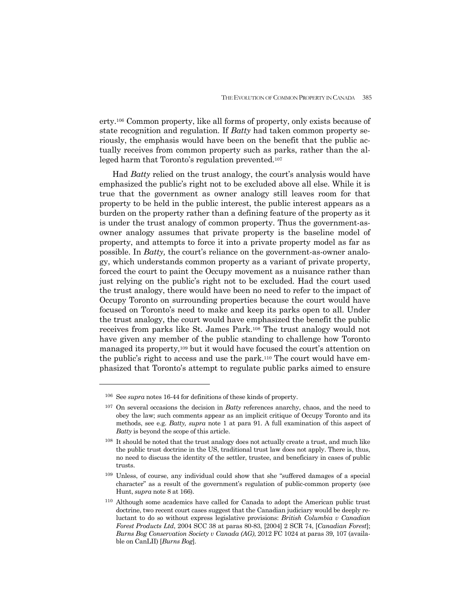erty.106 Common property, like all forms of property, only exists because of state recognition and regulation. If *Batty* had taken common property seriously, the emphasis would have been on the benefit that the public actually receives from common property such as parks, rather than the alleged harm that Toronto's regulation prevented.107

 Had *Batty* relied on the trust analogy, the court's analysis would have emphasized the public's right not to be excluded above all else. While it is true that the government as owner analogy still leaves room for that property to be held in the public interest, the public interest appears as a burden on the property rather than a defining feature of the property as it is under the trust analogy of common property. Thus the government-asowner analogy assumes that private property is the baseline model of property, and attempts to force it into a private property model as far as possible. In *Batty,* the court's reliance on the government-as-owner analogy, which understands common property as a variant of private property, forced the court to paint the Occupy movement as a nuisance rather than just relying on the public's right not to be excluded. Had the court used the trust analogy, there would have been no need to refer to the impact of Occupy Toronto on surrounding properties because the court would have focused on Toronto's need to make and keep its parks open to all. Under the trust analogy, the court would have emphasized the benefit the public receives from parks like St. James Park.108 The trust analogy would not have given any member of the public standing to challenge how Toronto managed its property,109 but it would have focused the court's attention on the public's right to access and use the park.110 The court would have emphasized that Toronto's attempt to regulate public parks aimed to ensure

<sup>106</sup> See *supra* notes 16-44 for definitions of these kinds of property.

<sup>107</sup> On several occasions the decision in *Batty* references anarchy, chaos, and the need to obey the law; such comments appear as an implicit critique of Occupy Toronto and its methods, see e.g. *Batty, supra* note 1 at para 91. A full examination of this aspect of *Batty* is beyond the scope of this article.

 $108$  It should be noted that the trust analogy does not actually create a trust, and much like the public trust doctrine in the US, traditional trust law does not apply. There is, thus, no need to discuss the identity of the settler, trustee, and beneficiary in cases of public trusts.

<sup>109</sup> Unless, of course, any individual could show that she "suffered damages of a special character" as a result of the government's regulation of public-common property (see Hunt, *supra* note 8 at 166).

<sup>110</sup> Although some academics have called for Canada to adopt the American public trust doctrine, two recent court cases suggest that the Canadian judiciary would be deeply reluctant to do so without express legislative provisions: *British Columbia v Canadian Forest Products Ltd*, 2004 SCC 38 at paras 80-83, [2004] 2 SCR 74, [*Canadian Forest*]; *Burns Bog Conservation Society v Canada (AG)*, 2012 FC 1024 at paras 39, 107 (available on CanLII) [*Burns Bog*].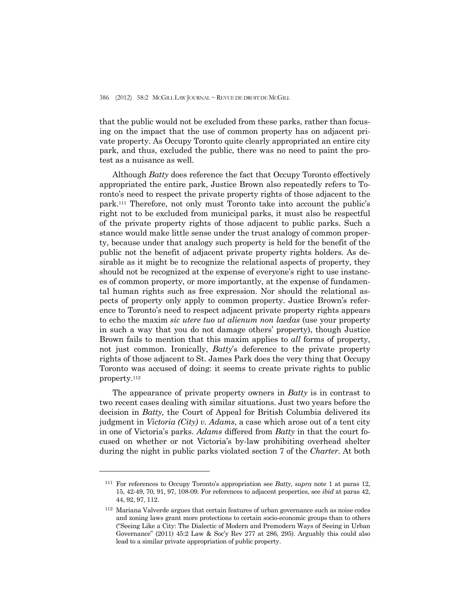that the public would not be excluded from these parks, rather than focusing on the impact that the use of common property has on adjacent private property. As Occupy Toronto quite clearly appropriated an entire city park, and thus, excluded the public, there was no need to paint the protest as a nuisance as well.

 Although *Batty* does reference the fact that Occupy Toronto effectively appropriated the entire park, Justice Brown also repeatedly refers to Toronto's need to respect the private property rights of those adjacent to the park.111 Therefore, not only must Toronto take into account the public's right not to be excluded from municipal parks, it must also be respectful of the private property rights of those adjacent to public parks. Such a stance would make little sense under the trust analogy of common property, because under that analogy such property is held for the benefit of the public not the benefit of adjacent private property rights holders. As desirable as it might be to recognize the relational aspects of property, they should not be recognized at the expense of everyone's right to use instances of common property, or more importantly, at the expense of fundamental human rights such as free expression. Nor should the relational aspects of property only apply to common property. Justice Brown's reference to Toronto's need to respect adjacent private property rights appears to echo the maxim *sic utere tuo ut alienum non laedas* (use your property in such a way that you do not damage others' property), though Justice Brown fails to mention that this maxim applies to *all* forms of property, not just common. Ironically, *Batty*'s deference to the private property rights of those adjacent to St. James Park does the very thing that Occupy Toronto was accused of doing: it seems to create private rights to public property.112

 The appearance of private property owners in *Batty* is in contrast to two recent cases dealing with similar situations. Just two years before the decision in *Batty,* the Court of Appeal for British Columbia delivered its judgment in *Victoria (City) v. Adams*, a case which arose out of a tent city in one of Victoria's parks. *Adams* differed from *Batty* in that the court focused on whether or not Victoria's by-law prohibiting overhead shelter during the night in public parks violated section 7 of the *Charter*. At both

<sup>111</sup> For references to Occupy Toronto's appropriation see *Batty, supra* note 1 at paras 12, 15, 42-49, 70, 91, 97, 108-09. For references to adjacent properties, see *ibid* at paras 42, 44, 92, 97, 112.

<sup>112</sup> Mariana Valverde argues that certain features of urban governance such as noise codes and zoning laws grant more protections to certain socio-economic groups than to others ("Seeing Like a City: The Dialectic of Modern and Premodern Ways of Seeing in Urban Governance" (2011) 45:2 Law & Soc'y Rev 277 at 286, 295). Arguably this could also lead to a similar private appropriation of public property.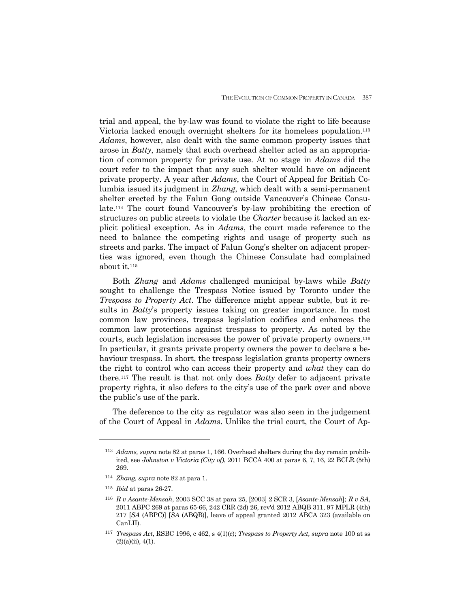trial and appeal, the by-law was found to violate the right to life because Victoria lacked enough overnight shelters for its homeless population.113 *Adams*, however, also dealt with the same common property issues that arose in *Batty*, namely that such overhead shelter acted as an appropriation of common property for private use. At no stage in *Adams* did the court refer to the impact that any such shelter would have on adjacent private property. A year after *Adams*, the Court of Appeal for British Columbia issued its judgment in *Zhang*, which dealt with a semi-permanent shelter erected by the Falun Gong outside Vancouver's Chinese Consulate.114 The court found Vancouver's by-law prohibiting the erection of structures on public streets to violate the *Charter* because it lacked an explicit political exception. As in *Adams*, the court made reference to the need to balance the competing rights and usage of property such as streets and parks. The impact of Falun Gong's shelter on adjacent properties was ignored, even though the Chinese Consulate had complained about it.115

 Both *Zhang* and *Adams* challenged municipal by-laws while *Batty* sought to challenge the Trespass Notice issued by Toronto under the *Trespass to Property Act*. The difference might appear subtle, but it results in *Batty*'s property issues taking on greater importance. In most common law provinces, trespass legislation codifies and enhances the common law protections against trespass to property. As noted by the courts, such legislation increases the power of private property owners.116 In particular, it grants private property owners the power to declare a behaviour trespass. In short, the trespass legislation grants property owners the right to control who can access their property and *what* they can do there.117 The result is that not only does *Batty* defer to adjacent private property rights, it also defers to the city's use of the park over and above the public's use of the park.

 The deference to the city as regulator was also seen in the judgement of the Court of Appeal in *Adams*. Unlike the trial court, the Court of Ap-

<sup>113</sup> *Adams, supra* note 82 at paras 1, 166. Overhead shelters during the day remain prohibited, see *Johnston v Victoria (City of)*, 2011 BCCA 400 at paras 6, 7, 16, 22 BCLR (5th) 269.

<sup>114</sup> *Zhang, supra* note 82 at para 1.

<sup>115</sup> *Ibid* at paras 26-27.

<sup>116</sup> *R v Asante-Mensah*, 2003 SCC 38 at para 25, [2003] 2 SCR 3, [*Asante-Mensah*]; *R v SA*, 2011 ABPC 269 at paras 65-66, 242 CRR (2d) 26, rev'd 2012 ABQB 311, 97 MPLR (4th) 217 [*SA* (ABPC)] [*SA* (ABQB)], leave of appeal granted 2012 ABCA 323 (available on CanLII).

<sup>117</sup> *Trespass Act*, RSBC 1996, c 462, s 4(1)(c); *Trespass to Property Act, supra* note 100 at ss  $(2)(a)(ii), 4(1).$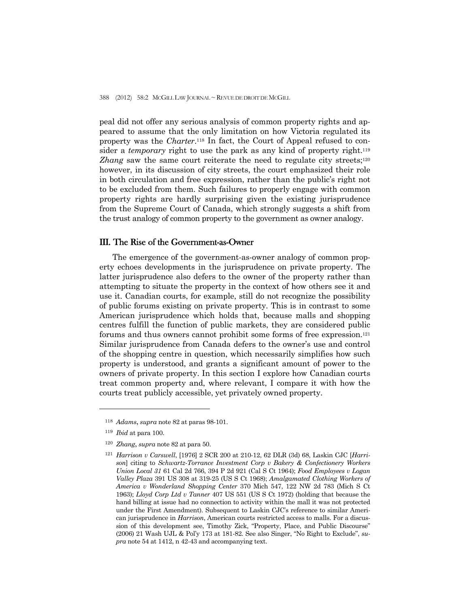peal did not offer any serious analysis of common property rights and appeared to assume that the only limitation on how Victoria regulated its property was the *Charter*.118 In fact, the Court of Appeal refused to consider a *temporary* right to use the park as any kind of property right.119 Zhang saw the same court reiterate the need to regulate city streets;<sup>120</sup> however, in its discussion of city streets, the court emphasized their role in both circulation and free expression, rather than the public's right not to be excluded from them. Such failures to properly engage with common property rights are hardly surprising given the existing jurisprudence from the Supreme Court of Canada, which strongly suggests a shift from the trust analogy of common property to the government as owner analogy.

## III. The Rise of the Government-as-Owner

 The emergence of the government-as-owner analogy of common property echoes developments in the jurisprudence on private property. The latter jurisprudence also defers to the owner of the property rather than attempting to situate the property in the context of how others see it and use it. Canadian courts, for example, still do not recognize the possibility of public forums existing on private property. This is in contrast to some American jurisprudence which holds that, because malls and shopping centres fulfill the function of public markets, they are considered public forums and thus owners cannot prohibit some forms of free expression.121 Similar jurisprudence from Canada defers to the owner's use and control of the shopping centre in question, which necessarily simplifies how such property is understood, and grants a significant amount of power to the owners of private property. In this section I explore how Canadian courts treat common property and, where relevant, I compare it with how the courts treat publicly accessible, yet privately owned property.

<sup>118</sup> *Adams*, *supra* note 82 at paras 98-101.

<sup>119</sup> *Ibid* at para 100.

<sup>120</sup> *Zhang*, *supra* note 82 at para 50.

<sup>121</sup> *Harrison v Carswell*, [1976] 2 SCR 200 at 210-12, 62 DLR (3d) 68, Laskin CJC [*Harrison*] citing to *Schwartz-Torrance Investment Corp v Bakery & Confectionery Workers Union Local 31* 61 Cal 2d 766, 394 P 2d 921 (Cal S Ct 1964); *Food Employees v Logan Valley Plaza* 391 US 308 at 319-25 (US S Ct 1968); *Amalgamated Clothing Workers of America v Wonderland Shopping Center* 370 Mich 547, 122 NW 2d 783 (Mich S Ct 1963); *Lloyd Corp Ltd v Tanner* 407 US 551 (US S Ct 1972) (holding that because the hand billing at issue had no connection to activity within the mall it was not protected under the First Amendment). Subsequent to Laskin CJC's reference to similar American jurisprudence in *Harrison*, American courts restricted access to malls. For a discussion of this development see, Timothy Zick, "Property, Place, and Public Discourse" (2006) 21 Wash UJL & Pol'y 173 at 181-82. See also Singer, "No Right to Exclude", *supra* note 54 at 1412, n 42-43 and accompanying text.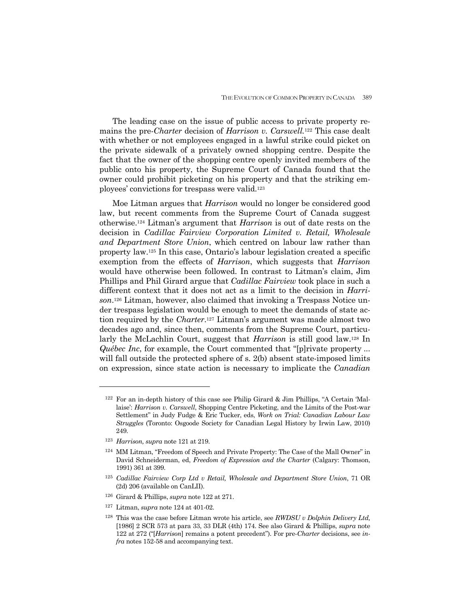The leading case on the issue of public access to private property remains the pre-*Charter* decision of *Harrison v. Carswell.*122 This case dealt with whether or not employees engaged in a lawful strike could picket on the private sidewalk of a privately owned shopping centre. Despite the fact that the owner of the shopping centre openly invited members of the public onto his property, the Supreme Court of Canada found that the owner could prohibit picketing on his property and that the striking employees' convictions for trespass were valid.123

 Moe Litman argues that *Harrison* would no longer be considered good law, but recent comments from the Supreme Court of Canada suggest otherwise.124 Litman's argument that *Harrison* is out of date rests on the decision in *Cadillac Fairview Corporation Limited v. Retail, Wholesale and Department Store Union*, which centred on labour law rather than property law.125 In this case, Ontario's labour legislation created a specific exemption from the effects of *Harrison*, which suggests that *Harrison* would have otherwise been followed. In contrast to Litman's claim, Jim Phillips and Phil Girard argue that *Cadillac Fairview* took place in such a different context that it does not act as a limit to the decision in *Harrison*.126 Litman, however, also claimed that invoking a Trespass Notice under trespass legislation would be enough to meet the demands of state action required by the *Charter*.127 Litman's argument was made almost two decades ago and, since then, comments from the Supreme Court, particularly the McLachlin Court, suggest that *Harrison* is still good law.128 In *Québec Inc*, for example, the Court commented that "[p]rivate property ... will fall outside the protected sphere of s. 2(b) absent state-imposed limits on expression, since state action is necessary to implicate the *Canadian* 

<sup>122</sup> For an in-depth history of this case see Philip Girard & Jim Phillips, "A Certain 'Mallaise': *Harrison v. Carswell*, Shopping Centre Picketing, and the Limits of the Post-war Settlement" in Judy Fudge & Eric Tucker, eds, *Work on Trial: Canadian Labour Law Struggles* (Toronto: Osgoode Society for Canadian Legal History by Irwin Law, 2010) 249.

<sup>123</sup> *Harrison, supra* note 121 at 219.

<sup>124</sup> MM Litman, "Freedom of Speech and Private Property: The Case of the Mall Owner" in David Schneiderman, ed, *Freedom of Expression and the Charter* (Calgary: Thomson, 1991) 361 at 399.

<sup>125</sup> *Cadillac Fairview Corp Ltd v Retail, Wholesale and Department Store Union*, 71 OR (2d) 206 (available on CanLII).

<sup>126</sup> Girard & Phillips, *supra* note 122 at 271.

<sup>127</sup> Litman, *supra* note 124 at 401-02.

<sup>128</sup> This was the case before Litman wrote his article, see *RWDSU v Dolphin Delivery Ltd,*  [1986] 2 SCR 573 at para 33, 33 DLR (4th) 174. See also Girard & Phillips, *supra* note 122 at 272 ("[*Harrison*] remains a potent precedent"). For pre-*Charter* decisions, see *infra* notes 152-58 and accompanying text.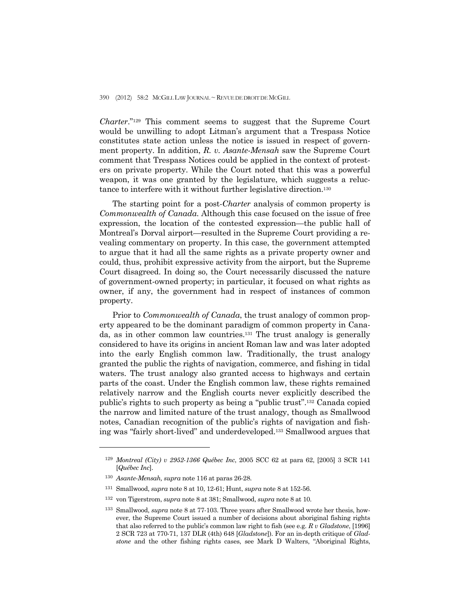*Charter*."129 This comment seems to suggest that the Supreme Court would be unwilling to adopt Litman's argument that a Trespass Notice constitutes state action unless the notice is issued in respect of government property. In addition, *R. v. Asante-Mensah* saw the Supreme Court comment that Trespass Notices could be applied in the context of protesters on private property. While the Court noted that this was a powerful weapon, it was one granted by the legislature, which suggests a reluctance to interfere with it without further legislative direction.130

 The starting point for a post-*Charter* analysis of common property is *Commonwealth of Canada*. Although this case focused on the issue of free expression, the location of the contested expression—the public hall of Montreal's Dorval airport—resulted in the Supreme Court providing a revealing commentary on property. In this case, the government attempted to argue that it had all the same rights as a private property owner and could, thus, prohibit expressive activity from the airport, but the Supreme Court disagreed. In doing so, the Court necessarily discussed the nature of government-owned property; in particular, it focused on what rights as owner, if any, the government had in respect of instances of common property.

 Prior to *Commonwealth of Canada*, the trust analogy of common property appeared to be the dominant paradigm of common property in Canada, as in other common law countries.131 The trust analogy is generally considered to have its origins in ancient Roman law and was later adopted into the early English common law. Traditionally, the trust analogy granted the public the rights of navigation, commerce, and fishing in tidal waters. The trust analogy also granted access to highways and certain parts of the coast. Under the English common law, these rights remained relatively narrow and the English courts never explicitly described the public's rights to such property as being a "public trust".132 Canada copied the narrow and limited nature of the trust analogy, though as Smallwood notes, Canadian recognition of the public's rights of navigation and fishing was "fairly short-lived" and underdeveloped.133 Smallwood argues that

<sup>129</sup> *Montreal (City) v 2952-1366 Québec Inc*, 2005 SCC 62 at para 62, [2005] 3 SCR 141 [*Québec Inc*].

<sup>130</sup> *Asante-Mensah, supra* note 116 at paras 26-28.

<sup>131</sup> Smallwood, *supra* note 8 at 10, 12-61; Hunt, *supra* note 8 at 152-56.

<sup>132</sup> von Tigerstrom, *supra* note 8 at 381; Smallwood, *supra* note 8 at 10.

<sup>133</sup> Smallwood, *supra* note 8 at 77-103. Three years after Smallwood wrote her thesis, however, the Supreme Court issued a number of decisions about aboriginal fishing rights that also referred to the public's common law right to fish (see e.g. *R v Gladstone*, [1996] 2 SCR 723 at 770-71, 137 DLR (4th) 648 [*Gladstone*]). For an in-depth critique of *Gladstone* and the other fishing rights cases, see Mark D Walters, "Aboriginal Rights,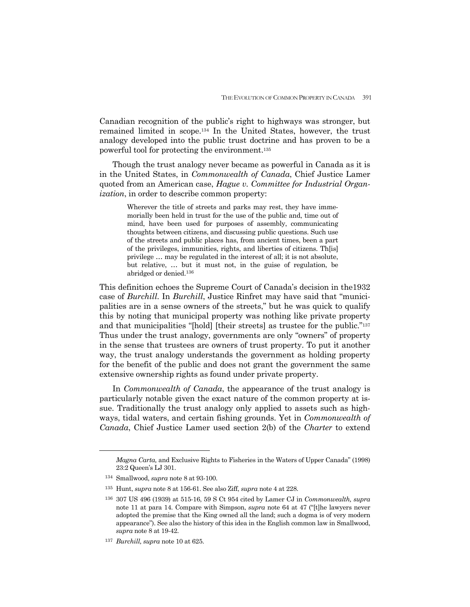Canadian recognition of the public's right to highways was stronger, but remained limited in scope.134 In the United States, however, the trust analogy developed into the public trust doctrine and has proven to be a powerful tool for protecting the environment.135

 Though the trust analogy never became as powerful in Canada as it is in the United States, in *Commonwealth of Canada*, Chief Justice Lamer quoted from an American case, *Hague v. Committee for Industrial Organization*, in order to describe common property:

> Wherever the title of streets and parks may rest, they have immemorially been held in trust for the use of the public and, time out of mind, have been used for purposes of assembly, communicating thoughts between citizens, and discussing public questions. Such use of the streets and public places has, from ancient times, been a part of the privileges, immunities, rights, and liberties of citizens. Th[is] privilege … may be regulated in the interest of all; it is not absolute, but relative, … but it must not, in the guise of regulation, be abridged or denied.136

This definition echoes the Supreme Court of Canada's decision in the1932 case of *Burchill*. In *Burchill*, Justice Rinfret may have said that "municipalities are in a sense owners of the streets," but he was quick to qualify this by noting that municipal property was nothing like private property and that municipalities "[hold] [their streets] as trustee for the public."137 Thus under the trust analogy, governments are only "owners" of property in the sense that trustees are owners of trust property. To put it another way, the trust analogy understands the government as holding property for the benefit of the public and does not grant the government the same extensive ownership rights as found under private property.

 In *Commonwealth of Canada*, the appearance of the trust analogy is particularly notable given the exact nature of the common property at issue. Traditionally the trust analogy only applied to assets such as highways, tidal waters, and certain fishing grounds. Yet in *Commonwealth of Canada*, Chief Justice Lamer used section 2(b) of the *Charter* to extend

 $\overline{a}$ 

*Magna Carta,* and Exclusive Rights to Fisheries in the Waters of Upper Canada" (1998) 23:2 Queen's LJ 301.

<sup>134</sup>Smallwood, *supra* note 8 at 93-100.

<sup>135</sup> Hunt, *supra* note 8 at 156-61. See also Ziff, *supra* note 4 at 228.

<sup>136 307</sup> US 496 (1939) at 515-16, 59 S Ct 954 cited by Lamer CJ in *Commonwealth, supra* note 11 at para 14. Compare with Simpson, *supra* note 64 at 47 ("[t]he lawyers never adopted the premise that the King owned all the land; such a dogma is of very modern appearance"). See also the history of this idea in the English common law in Smallwood, *supra* note 8 at 19-42.

<sup>137</sup> *Burchill, supra* note 10 at 625.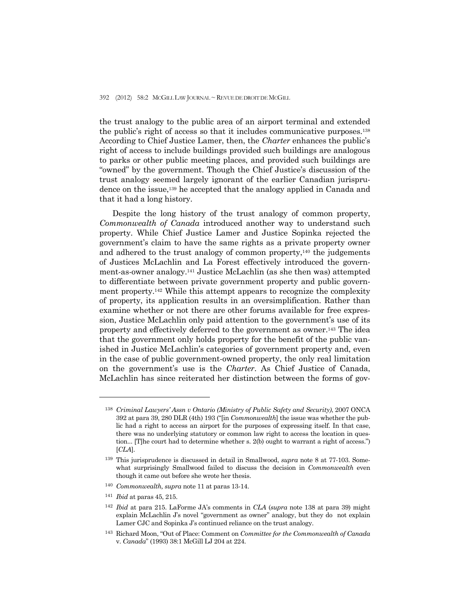the trust analogy to the public area of an airport terminal and extended the public's right of access so that it includes communicative purposes.138 According to Chief Justice Lamer, then, the *Charter* enhances the public's right of access to include buildings provided such buildings are analogous to parks or other public meeting places, and provided such buildings are "owned" by the government. Though the Chief Justice's discussion of the trust analogy seemed largely ignorant of the earlier Canadian jurisprudence on the issue,139 he accepted that the analogy applied in Canada and that it had a long history.

 Despite the long history of the trust analogy of common property, *Commonwealth of Canada* introduced another way to understand such property. While Chief Justice Lamer and Justice Sopinka rejected the government's claim to have the same rights as a private property owner and adhered to the trust analogy of common property,140 the judgements of Justices McLachlin and La Forest effectively introduced the government-as-owner analogy.141 Justice McLachlin (as she then was) attempted to differentiate between private government property and public government property.142 While this attempt appears to recognize the complexity of property, its application results in an oversimplification. Rather than examine whether or not there are other forums available for free expression, Justice McLachlin only paid attention to the government's use of its property and effectively deferred to the government as owner.143 The idea that the government only holds property for the benefit of the public vanished in Justice McLachlin's categories of government property and, even in the case of public government-owned property, the only real limitation on the government's use is the *Charter*. As Chief Justice of Canada, McLachlin has since reiterated her distinction between the forms of gov-

- <sup>140</sup> *Commonwealth, supra* note 11 at paras 13-14.
- <sup>141</sup> *Ibid* at paras 45, 215.

<sup>138</sup> *Criminal Lawyers' Assn v Ontario (Ministry of Public Safety and Security)*, 2007 ONCA 392 at para 39, 280 DLR (4th) 193 ("[in *Commonwealth*] the issue was whether the public had a right to access an airport for the purposes of expressing itself. In that case, there was no underlying statutory or common law right to access the location in question... [T]he court had to determine whether s. 2(b) ought to warrant a right of access.") [*CLA*].

<sup>139</sup> This jurisprudence is discussed in detail in Smallwood, *supra* note 8 at 77-103. Somewhat surprisingly Smallwood failed to discuss the decision in *Commonwealth* even though it came out before she wrote her thesis.

<sup>142</sup> *Ibid* at para 215. LaForme JA's comments in *CLA* (*supra* note 138 at para 39) might explain McLachlin J's novel "government as owner" analogy, but they do not explain Lamer CJC and Sopinka J's continued reliance on the trust analogy.

<sup>143</sup> Richard Moon, "Out of Place: Comment on *Committee for the Commonwealth of Canada*  v. *Canada*" (1993) 38:1 McGill LJ 204 at 224.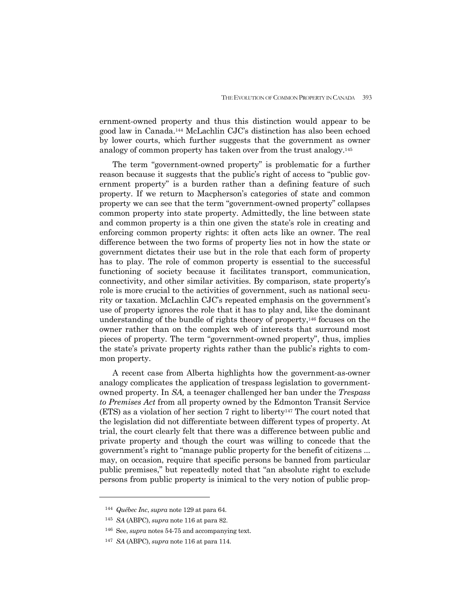ernment-owned property and thus this distinction would appear to be good law in Canada.144 McLachlin CJC's distinction has also been echoed by lower courts, which further suggests that the government as owner analogy of common property has taken over from the trust analogy.145

 The term "government-owned property" is problematic for a further reason because it suggests that the public's right of access to "public government property" is a burden rather than a defining feature of such property. If we return to Macpherson's categories of state and common property we can see that the term "government-owned property" collapses common property into state property. Admittedly, the line between state and common property is a thin one given the state's role in creating and enforcing common property rights: it often acts like an owner. The real difference between the two forms of property lies not in how the state or government dictates their use but in the role that each form of property has to play. The role of common property is essential to the successful functioning of society because it facilitates transport, communication, connectivity, and other similar activities. By comparison, state property's role is more crucial to the activities of government, such as national security or taxation. McLachlin CJC's repeated emphasis on the government's use of property ignores the role that it has to play and, like the dominant understanding of the bundle of rights theory of property,<sup>146</sup> focuses on the owner rather than on the complex web of interests that surround most pieces of property. The term "government-owned property", thus, implies the state's private property rights rather than the public's rights to common property.

 A recent case from Alberta highlights how the government-as-owner analogy complicates the application of trespass legislation to governmentowned property. In *SA,* a teenager challenged her ban under the *Trespass to Premises Act* from all property owned by the Edmonton Transit Service  $(ETS)$  as a violation of her section 7 right to liberty<sup>147</sup> The court noted that the legislation did not differentiate between different types of property. At trial, the court clearly felt that there was a difference between public and private property and though the court was willing to concede that the government's right to "manage public property for the benefit of citizens ... may, on occasion, require that specific persons be banned from particular public premises," but repeatedly noted that "an absolute right to exclude persons from public property is inimical to the very notion of public prop-

<sup>144</sup> *Québec Inc*, *supra* note 129 at para 64.

<sup>145</sup> *SA* (ABPC), *supra* note 116 at para 82.

<sup>146</sup> See, *supra* notes 54-75 and accompanying text.

<sup>147</sup> *SA* (ABPC), *supra* note 116 at para 114.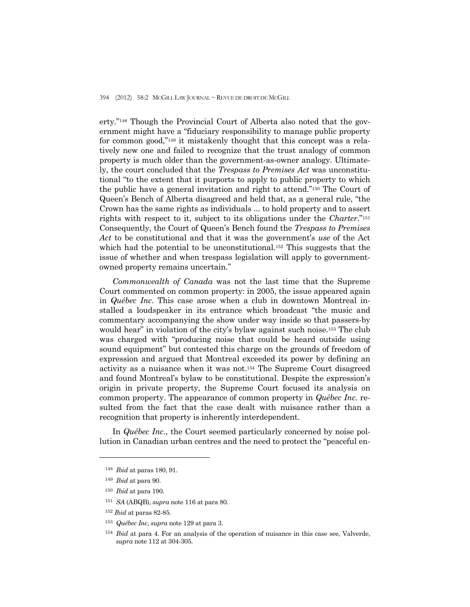erty."148 Though the Provincial Court of Alberta also noted that the government might have a "fiduciary responsibility to manage public property for common good,"149 it mistakenly thought that this concept was a relatively new one and failed to recognize that the trust analogy of common property is much older than the government-as-owner analogy. Ultimately, the court concluded that the *Trespass to Premises Act* was unconstitutional "to the extent that it purports to apply to public property to which the public have a general invitation and right to attend."150 The Court of Queen's Bench of Alberta disagreed and held that, as a general rule, "the Crown has the same rights as individuals ... to hold property and to assert rights with respect to it, subject to its obligations under the *Charter*."151 Consequently, the Court of Queen's Bench found the *Trespass to Premises Act* to be constitutional and that it was the government's *use* of the Act which had the potential to be unconstitutional.<sup>152</sup> This suggests that the issue of whether and when trespass legislation will apply to governmentowned property remains uncertain."

 *Commonwealth of Canada* was not the last time that the Supreme Court commented on common property: in 2005, the issue appeared again in *Québec Inc*. This case arose when a club in downtown Montreal installed a loudspeaker in its entrance which broadcast "the music and commentary accompanying the show under way inside so that passers-by would hear" in violation of the city's bylaw against such noise.<sup>153</sup> The club was charged with "producing noise that could be heard outside using sound equipment" but contested this charge on the grounds of freedom of expression and argued that Montreal exceeded its power by defining an activity as a nuisance when it was not.154 The Supreme Court disagreed and found Montreal's bylaw to be constitutional. Despite the expression's origin in private property, the Supreme Court focused its analysis on common property. The appearance of common property in *Québec Inc.* resulted from the fact that the case dealt with nuisance rather than a recognition that property is inherently interdependent.

 In *Québec Inc.*, the Court seemed particularly concerned by noise pollution in Canadian urban centres and the need to protect the "peaceful en-

<sup>149</sup> *Ibid* at para 90.

- 150 *Ibid* at para 190.
- 151 *SA* (ABQB), *supra* note 116 at para 80.
- <sup>152</sup> *Ibid* at paras 82-85.
- <sup>153</sup> *Québec Inc*, *supra* note 129 at para 3.

<sup>148</sup> *Ibid* at paras 180, 91.

<sup>154</sup> *Ibid* at para 4. For an analysis of the operation of nuisance in this case see, Valverde, *supra* note 112 at 304-305.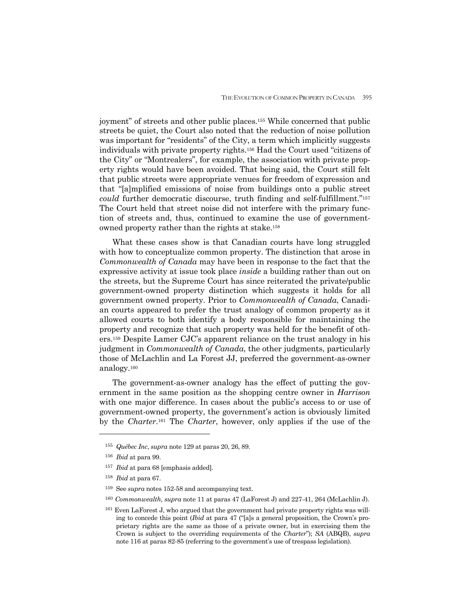joyment" of streets and other public places.155 While concerned that public streets be quiet, the Court also noted that the reduction of noise pollution was important for "residents" of the City, a term which implicitly suggests individuals with private property rights.156 Had the Court used "citizens of the City" or "Montrealers", for example, the association with private property rights would have been avoided. That being said, the Court still felt that public streets were appropriate venues for freedom of expression and that "[a]mplified emissions of noise from buildings onto a public street *could* further democratic discourse, truth finding and self-fulfillment."157 The Court held that street noise did not interfere with the primary function of streets and, thus, continued to examine the use of governmentowned property rather than the rights at stake.158

 What these cases show is that Canadian courts have long struggled with how to conceptualize common property. The distinction that arose in *Commonwealth of Canada* may have been in response to the fact that the expressive activity at issue took place *inside* a building rather than out on the streets, but the Supreme Court has since reiterated the private/public government-owned property distinction which suggests it holds for all government owned property. Prior to *Commonwealth of Canada*, Canadian courts appeared to prefer the trust analogy of common property as it allowed courts to both identify a body responsible for maintaining the property and recognize that such property was held for the benefit of others.159 Despite Lamer CJC's apparent reliance on the trust analogy in his judgment in *Commonwealth of Canada*, the other judgments, particularly those of McLachlin and La Forest JJ, preferred the government-as-owner analogy.160

 The government-as-owner analogy has the effect of putting the government in the same position as the shopping centre owner in *Harrison* with one major difference. In cases about the public's access to or use of government-owned property, the government's action is obviously limited by the *Charter*.161 The *Charter*, however, only applies if the use of the

<sup>155</sup> *Québec Inc*, *supra* note 129 at paras 20, 26, 89.

<sup>156</sup> *Ibid* at para 99.

<sup>157</sup> *Ibid* at para 68 [emphasis added].

<sup>158</sup> *Ibid* at para 67.

<sup>159</sup> See *supra* notes 152-58 and accompanying text.

<sup>160</sup> *Commonwealth, supra* note 11 at paras 47 (LaForest J) and 227-41, 264 (McLachlin J).

<sup>&</sup>lt;sup>161</sup> Even LaForest J, who argued that the government had private property rights was willing to concede this point (*Ibid* at para 47 ("[a]s a general proposition, the Crown's proprietary rights are the same as those of a private owner, but in exercising them the Crown is subject to the overriding requirements of the *Charter*"); *SA* (ABQB), *supra* note 116 at paras 82-85 (referring to the government's use of trespass legislation).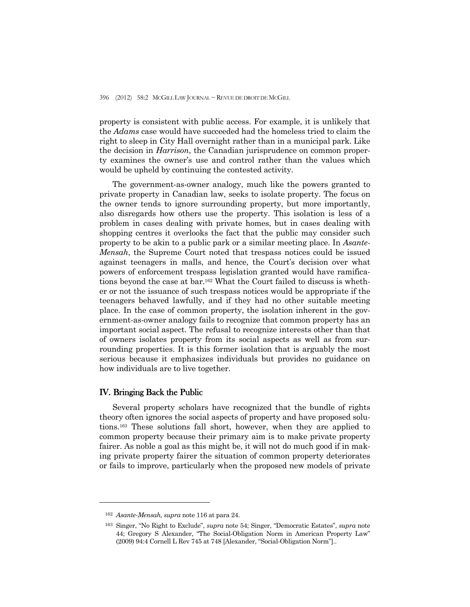property is consistent with public access. For example, it is unlikely that the *Adams* case would have succeeded had the homeless tried to claim the right to sleep in City Hall overnight rather than in a municipal park. Like the decision in *Harrison*, the Canadian jurisprudence on common property examines the owner's use and control rather than the values which would be upheld by continuing the contested activity.

 The government-as-owner analogy, much like the powers granted to private property in Canadian law, seeks to isolate property. The focus on the owner tends to ignore surrounding property, but more importantly, also disregards how others use the property. This isolation is less of a problem in cases dealing with private homes, but in cases dealing with shopping centres it overlooks the fact that the public may consider such property to be akin to a public park or a similar meeting place. In *Asante-Mensah*, the Supreme Court noted that trespass notices could be issued against teenagers in malls, and hence, the Court's decision over what powers of enforcement trespass legislation granted would have ramifications beyond the case at bar.162 What the Court failed to discuss is whether or not the issuance of such trespass notices would be appropriate if the teenagers behaved lawfully, and if they had no other suitable meeting place. In the case of common property, the isolation inherent in the government-as-owner analogy fails to recognize that common property has an important social aspect. The refusal to recognize interests other than that of owners isolates property from its social aspects as well as from surrounding properties. It is this former isolation that is arguably the most serious because it emphasizes individuals but provides no guidance on how individuals are to live together.

## IV. Bringing Back the Public

-

 Several property scholars have recognized that the bundle of rights theory often ignores the social aspects of property and have proposed solutions.163 These solutions fall short, however, when they are applied to common property because their primary aim is to make private property fairer. As noble a goal as this might be, it will not do much good if in making private property fairer the situation of common property deteriorates or fails to improve, particularly when the proposed new models of private

<sup>162</sup> *Asante-Mensah, supra* note 116 at para 24.

<sup>163</sup> Singer, "No Right to Exclude", *supra* note 54; Singer, "Democratic Estates", *supra* note 44; Gregory S Alexander, "The Social-Obligation Norm in American Property Law" (2009) 94:4 Cornell L Rev 745 at 748 [Alexander, "Social-Obligation Norm"]..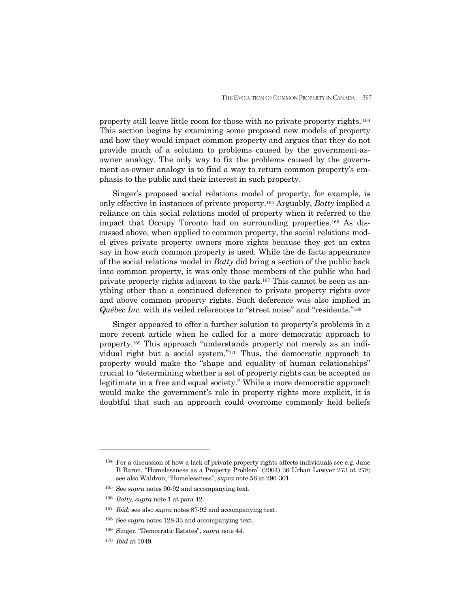property still leave little room for those with no private property rights. 164 This section begins by examining some proposed new models of property and how they would impact common property and argues that they do not provide much of a solution to problems caused by the government-asowner analogy. The only way to fix the problems caused by the government-as-owner analogy is to find a way to return common property's emphasis to the public and their interest in such property.

 Singer's proposed social relations model of property, for example, is only effective in instances of private property.165 Arguably, *Batty* implied a reliance on this social relations model of property when it referred to the impact that Occupy Toronto had on surrounding properties.166 As discussed above, when applied to common property, the social relations model gives private property owners more rights because they get an extra say in how such common property is used. While the de facto appearance of the social relations model in *Batty* did bring a section of the public back into common property, it was only those members of the public who had private property rights adjacent to the park.167 This cannot be seen as anything other than a continued deference to private property rights over and above common property rights. Such deference was also implied in *Québec Inc.* with its veiled references to "street noise" and "residents."<sup>168</sup>

 Singer appeared to offer a further solution to property's problems in a more recent article when he called for a more democratic approach to property.169 This approach "understands property not merely as an individual right but a social system."170 Thus, the democratic approach to property would make the "shape and equality of human relationships" crucial to "determining whether a set of property rights can be accepted as legitimate in a free and equal society." While a more democratic approach would make the government's role in property rights more explicit, it is doubtful that such an approach could overcome commonly held beliefs

<sup>164</sup> For a discussion of how a lack of private property rights affects individuals see e.g. Jane B Baron, "Homelessness as a Property Problem" (2004) 36 Urban Lawyer 273 at 278; see also Waldron, "Homelessness", *supra* note 56 at 296-301.

<sup>165</sup> See *supra* notes 90-92 and accompanying text.

<sup>166</sup> *Batty, supra* note 1 at para 42.

<sup>167</sup> *Ibid*; see also *supra* notes 87-92 and accompanying text.

<sup>168</sup> See *supra* notes 128-33 and accompanying text.

<sup>169</sup> Singer, "Democratic Estates", *supra* note 44.

<sup>170</sup> *Ibid* at 1049.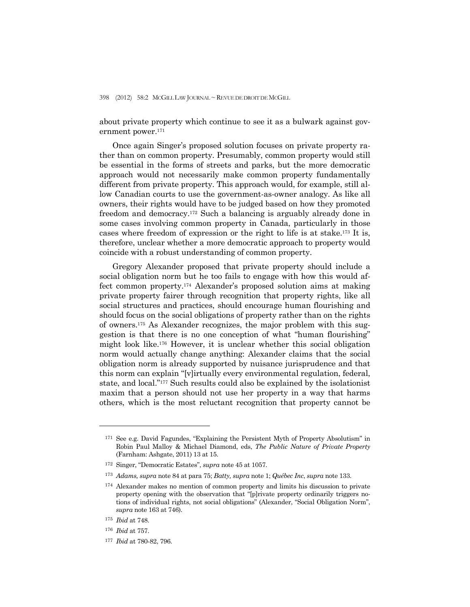about private property which continue to see it as a bulwark against government power.171

 Once again Singer's proposed solution focuses on private property rather than on common property. Presumably, common property would still be essential in the forms of streets and parks, but the more democratic approach would not necessarily make common property fundamentally different from private property. This approach would, for example, still allow Canadian courts to use the government-as-owner analogy. As like all owners, their rights would have to be judged based on how they promoted freedom and democracy.172 Such a balancing is arguably already done in some cases involving common property in Canada, particularly in those cases where freedom of expression or the right to life is at stake.173 It is, therefore, unclear whether a more democratic approach to property would coincide with a robust understanding of common property.

 Gregory Alexander proposed that private property should include a social obligation norm but he too fails to engage with how this would affect common property.174 Alexander's proposed solution aims at making private property fairer through recognition that property rights, like all social structures and practices, should encourage human flourishing and should focus on the social obligations of property rather than on the rights of owners.175 As Alexander recognizes, the major problem with this suggestion is that there is no one conception of what "human flourishing" might look like.176 However, it is unclear whether this social obligation norm would actually change anything: Alexander claims that the social obligation norm is already supported by nuisance jurisprudence and that this norm can explain "[v]irtually every environmental regulation, federal, state, and local."177 Such results could also be explained by the isolationist maxim that a person should not use her property in a way that harms others, which is the most reluctant recognition that property cannot be

<sup>171</sup> See e.g. David Fagundes, "Explaining the Persistent Myth of Property Absolutism" in Robin Paul Malloy & Michael Diamond, eds, *The Public Nature of Private Property* (Farnham: Ashgate, 2011) 13 at 15.

<sup>172</sup> Singer, "Democratic Estates", *supra* note 45 at 1057.

<sup>173</sup> *Adams, supra* note 84 at para 75; *Batty, supra* note 1; *Québec Inc*, *supra* note 133.

<sup>174</sup> Alexander makes no mention of common property and limits his discussion to private property opening with the observation that "[p]rivate property ordinarily triggers notions of individual rights, not social obligations" (Alexander, "Social Obligation Norm", *supra* note 163 at 746).

<sup>175</sup> *Ibid* at 748.

<sup>176</sup> *Ibid* at 757.

<sup>177</sup> *Ibid* at 780-82, 796.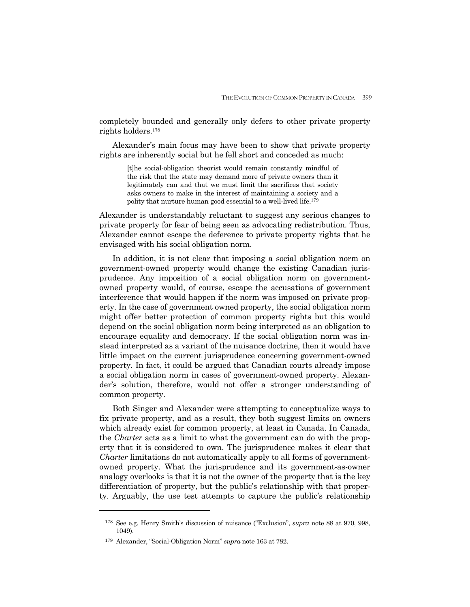completely bounded and generally only defers to other private property rights holders.178

 Alexander's main focus may have been to show that private property rights are inherently social but he fell short and conceded as much:

> [t]he social-obligation theorist would remain constantly mindful of the risk that the state may demand more of private owners than it legitimately can and that we must limit the sacrifices that society asks owners to make in the interest of maintaining a society and a polity that nurture human good essential to a well-lived life.179

Alexander is understandably reluctant to suggest any serious changes to private property for fear of being seen as advocating redistribution. Thus, Alexander cannot escape the deference to private property rights that he envisaged with his social obligation norm.

 In addition, it is not clear that imposing a social obligation norm on government-owned property would change the existing Canadian jurisprudence. Any imposition of a social obligation norm on governmentowned property would, of course, escape the accusations of government interference that would happen if the norm was imposed on private property. In the case of government owned property, the social obligation norm might offer better protection of common property rights but this would depend on the social obligation norm being interpreted as an obligation to encourage equality and democracy. If the social obligation norm was instead interpreted as a variant of the nuisance doctrine, then it would have little impact on the current jurisprudence concerning government-owned property. In fact, it could be argued that Canadian courts already impose a social obligation norm in cases of government-owned property. Alexander's solution, therefore, would not offer a stronger understanding of common property.

 Both Singer and Alexander were attempting to conceptualize ways to fix private property, and as a result, they both suggest limits on owners which already exist for common property, at least in Canada. In Canada, the *Charter* acts as a limit to what the government can do with the property that it is considered to own. The jurisprudence makes it clear that *Charter* limitations do not automatically apply to all forms of governmentowned property. What the jurisprudence and its government-as-owner analogy overlooks is that it is not the owner of the property that is the key differentiation of property, but the public's relationship with that property. Arguably, the use test attempts to capture the public's relationship

<sup>178</sup> See e.g. Henry Smith's discussion of nuisance ("Exclusion", *supra* note 88 at 970, 998, 1049).

<sup>179</sup> Alexander, "Social-Obligation Norm" *supra* note 163 at 782.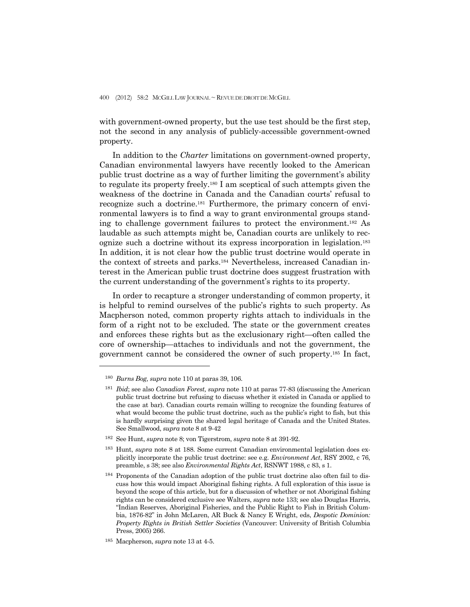with government-owned property, but the use test should be the first step, not the second in any analysis of publicly-accessible government-owned property.

 In addition to the *Charter* limitations on government-owned property, Canadian environmental lawyers have recently looked to the American public trust doctrine as a way of further limiting the government's ability to regulate its property freely.<sup>180</sup> I am sceptical of such attempts given the weakness of the doctrine in Canada and the Canadian courts' refusal to recognize such a doctrine.181 Furthermore, the primary concern of environmental lawyers is to find a way to grant environmental groups standing to challenge government failures to protect the environment.182 As laudable as such attempts might be, Canadian courts are unlikely to recognize such a doctrine without its express incorporation in legislation.183 In addition, it is not clear how the public trust doctrine would operate in the context of streets and parks.184 Nevertheless, increased Canadian interest in the American public trust doctrine does suggest frustration with the current understanding of the government's rights to its property.

 In order to recapture a stronger understanding of common property, it is helpful to remind ourselves of the public's rights to such property. As Macpherson noted, common property rights attach to individuals in the form of a right not to be excluded. The state or the government creates and enforces these rights but as the exclusionary right—often called the core of ownership—attaches to individuals and not the government, the government cannot be considered the owner of such property.185 In fact,

<sup>180</sup> *Burns Bog, supra* note 110 at paras 39, 106.

<sup>181</sup> *Ibid*; see also *Canadian Forest, supra* note 110 at paras 77-83 (discussing the American public trust doctrine but refusing to discuss whether it existed in Canada or applied to the case at bar). Canadian courts remain willing to recognize the founding features of what would become the public trust doctrine, such as the public's right to fish, but this is hardly surprising given the shared legal heritage of Canada and the United States. See Smallwood, *supra* note 8 at 9-42

<sup>182</sup> See Hunt, *supra* note 8; von Tigerstrom, *supra* note 8 at 391-92.

<sup>183</sup> Hunt, *supra* note 8 at 188. Some current Canadian environmental legislation does explicitly incorporate the public trust doctrine: see e.g. *Environment Act*, RSY 2002, c 76, preamble, s 38; see also *Environmental Rights Act*, RSNWT 1988, c 83, s 1.

<sup>184</sup> Proponents of the Canadian adoption of the public trust doctrine also often fail to discuss how this would impact Aboriginal fishing rights. A full exploration of this issue is beyond the scope of this article, but for a discussion of whether or not Aboriginal fishing rights can be considered exclusive see Walters, *supra* note 133; see also Douglas Harris, "Indian Reserves, Aboriginal Fisheries, and the Public Right to Fish in British Columbia, 1876-82" in John McLaren, AR Buck & Nancy E Wright, eds, *Despotic Dominion: Property Rights in British Settler Societies* (Vancouver: University of British Columbia Press, 2005) 266.

<sup>185</sup> Macpherson, *supra* note 13 at 4-5.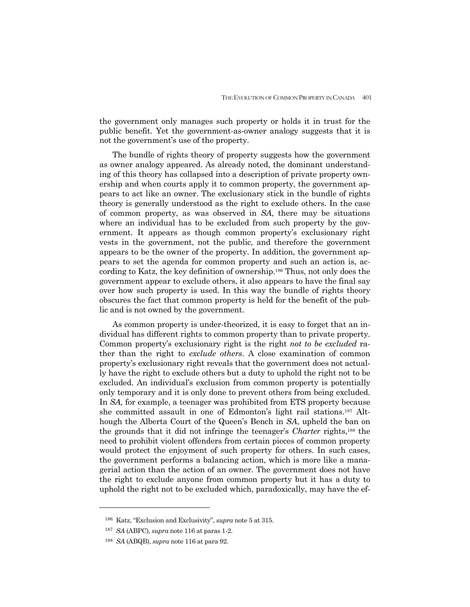the government only manages such property or holds it in trust for the public benefit. Yet the government-as-owner analogy suggests that it is not the government's use of the property.

 The bundle of rights theory of property suggests how the government as owner analogy appeared. As already noted, the dominant understanding of this theory has collapsed into a description of private property ownership and when courts apply it to common property, the government appears to act like an owner. The exclusionary stick in the bundle of rights theory is generally understood as the right to exclude others. In the case of common property, as was observed in *SA*, there may be situations where an individual has to be excluded from such property by the government. It appears as though common property's exclusionary right vests in the government, not the public, and therefore the government appears to be the owner of the property. In addition, the government appears to set the agenda for common property and such an action is, according to Katz, the key definition of ownership.186 Thus, not only does the government appear to exclude others, it also appears to have the final say over how such property is used. In this way the bundle of rights theory obscures the fact that common property is held for the benefit of the public and is not owned by the government.

 As common property is under-theorized, it is easy to forget that an individual has different rights to common property than to private property. Common property's exclusionary right is the right *not to be excluded* rather than the right to *exclude others*. A close examination of common property's exclusionary right reveals that the government does not actually have the right to exclude others but a duty to uphold the right not to be excluded. An individual's exclusion from common property is potentially only temporary and it is only done to prevent others from being excluded. In *SA,* for example, a teenager was prohibited from ETS property because she committed assault in one of Edmonton's light rail stations.187 Although the Alberta Court of the Queen's Bench in *SA*, upheld the ban on the grounds that it did not infringe the teenager's *Charter* rights,188 the need to prohibit violent offenders from certain pieces of common property would protect the enjoyment of such property for others. In such cases, the government performs a balancing action, which is more like a managerial action than the action of an owner. The government does not have the right to exclude anyone from common property but it has a duty to uphold the right not to be excluded which, paradoxically, may have the ef-

<sup>186</sup> Katz, "Exclusion and Exclusivity", *supra* note 5 at 315.

<sup>187</sup> *SA* (ABPC)*, supra* note 116 at paras 1-2.

<sup>188</sup> *SA* (ABQB), *supra* note 116 at para 92.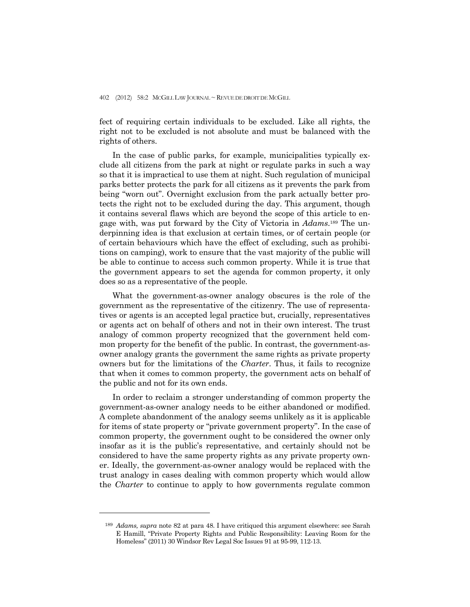fect of requiring certain individuals to be excluded. Like all rights, the right not to be excluded is not absolute and must be balanced with the rights of others.

 In the case of public parks, for example, municipalities typically exclude all citizens from the park at night or regulate parks in such a way so that it is impractical to use them at night. Such regulation of municipal parks better protects the park for all citizens as it prevents the park from being "worn out". Overnight exclusion from the park actually better protects the right not to be excluded during the day. This argument, though it contains several flaws which are beyond the scope of this article to engage with, was put forward by the City of Victoria in *Adams*.189 The underpinning idea is that exclusion at certain times, or of certain people (or of certain behaviours which have the effect of excluding, such as prohibitions on camping), work to ensure that the vast majority of the public will be able to continue to access such common property. While it is true that the government appears to set the agenda for common property, it only does so as a representative of the people.

 What the government-as-owner analogy obscures is the role of the government as the representative of the citizenry. The use of representatives or agents is an accepted legal practice but, crucially, representatives or agents act on behalf of others and not in their own interest. The trust analogy of common property recognized that the government held common property for the benefit of the public. In contrast, the government-asowner analogy grants the government the same rights as private property owners but for the limitations of the *Charter*. Thus, it fails to recognize that when it comes to common property, the government acts on behalf of the public and not for its own ends.

 In order to reclaim a stronger understanding of common property the government-as-owner analogy needs to be either abandoned or modified. A complete abandonment of the analogy seems unlikely as it is applicable for items of state property or "private government property". In the case of common property, the government ought to be considered the owner only insofar as it is the public's representative, and certainly should not be considered to have the same property rights as any private property owner. Ideally, the government-as-owner analogy would be replaced with the trust analogy in cases dealing with common property which would allow the *Charter* to continue to apply to how governments regulate common

<sup>189</sup> *Adams, supra* note 82 at para 48. I have critiqued this argument elsewhere: see Sarah E Hamill, "Private Property Rights and Public Responsibility: Leaving Room for the Homeless" (2011) 30 Windsor Rev Legal Soc Issues 91 at 95-99, 112-13.